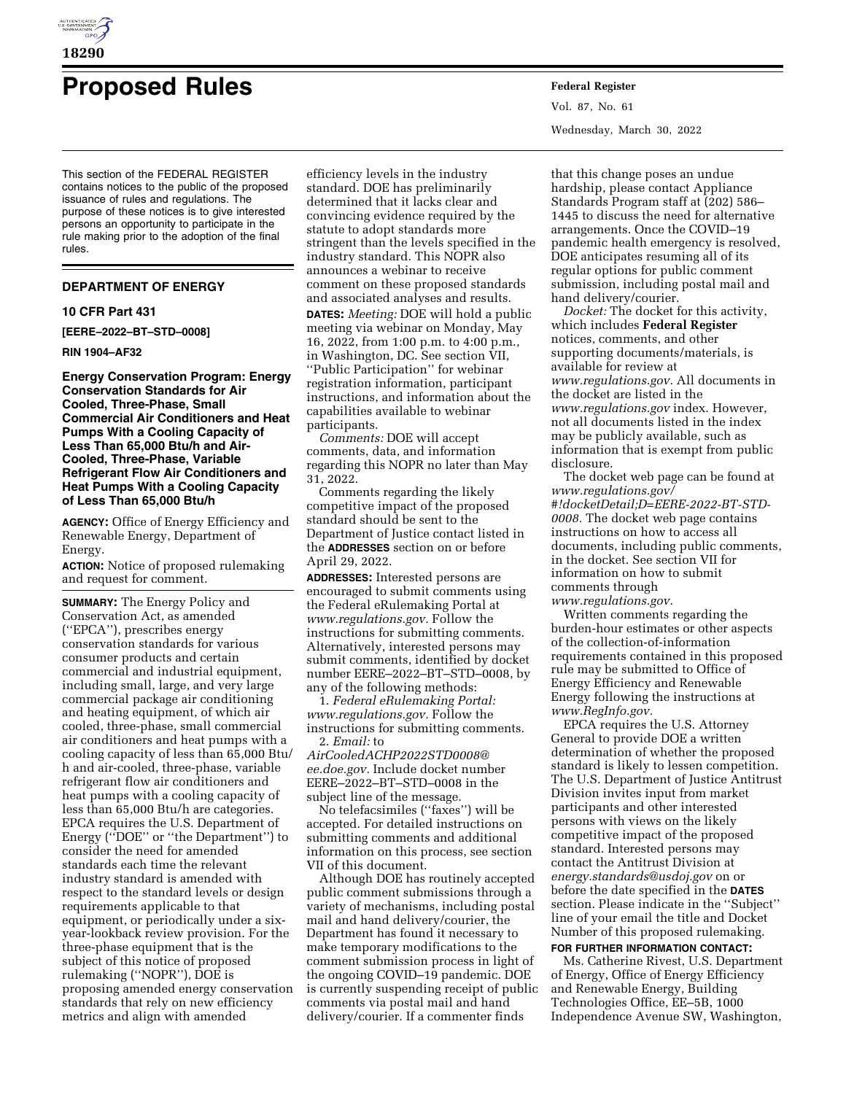

# **Proposed Rules Federal Register**

This section of the FEDERAL REGISTER contains notices to the public of the proposed issuance of rules and regulations. The purpose of these notices is to give interested persons an opportunity to participate in the rule making prior to the adoption of the final rules.

#### **DEPARTMENT OF ENERGY**

#### **10 CFR Part 431**

**[EERE–2022–BT–STD–0008]** 

#### **RIN 1904–AF32**

**Energy Conservation Program: Energy Conservation Standards for Air Cooled, Three-Phase, Small Commercial Air Conditioners and Heat Pumps With a Cooling Capacity of Less Than 65,000 Btu/h and Air-Cooled, Three-Phase, Variable Refrigerant Flow Air Conditioners and Heat Pumps With a Cooling Capacity of Less Than 65,000 Btu/h** 

**AGENCY:** Office of Energy Efficiency and Renewable Energy, Department of Energy.

**ACTION:** Notice of proposed rulemaking and request for comment.

**SUMMARY:** The Energy Policy and Conservation Act, as amended (''EPCA''), prescribes energy conservation standards for various consumer products and certain commercial and industrial equipment, including small, large, and very large commercial package air conditioning and heating equipment, of which air cooled, three-phase, small commercial air conditioners and heat pumps with a cooling capacity of less than 65,000 Btu/ h and air-cooled, three-phase, variable refrigerant flow air conditioners and heat pumps with a cooling capacity of less than 65,000 Btu/h are categories. EPCA requires the U.S. Department of Energy (''DOE'' or ''the Department'') to consider the need for amended standards each time the relevant industry standard is amended with respect to the standard levels or design requirements applicable to that equipment, or periodically under a sixyear-lookback review provision. For the three-phase equipment that is the subject of this notice of proposed rulemaking (''NOPR''), DOE is proposing amended energy conservation standards that rely on new efficiency metrics and align with amended

efficiency levels in the industry standard. DOE has preliminarily determined that it lacks clear and convincing evidence required by the statute to adopt standards more stringent than the levels specified in the industry standard. This NOPR also announces a webinar to receive comment on these proposed standards and associated analyses and results. **DATES:** *Meeting:* DOE will hold a public meeting via webinar on Monday, May 16, 2022, from 1:00 p.m. to 4:00 p.m., in Washington, DC. See section VII, ''Public Participation'' for webinar registration information, participant instructions, and information about the capabilities available to webinar participants.

*Comments:* DOE will accept comments, data, and information regarding this NOPR no later than May 31, 2022.

Comments regarding the likely competitive impact of the proposed standard should be sent to the Department of Justice contact listed in the **ADDRESSES** section on or before April 29, 2022.

**ADDRESSES:** Interested persons are encouraged to submit comments using the Federal eRulemaking Portal at *[www.regulations.gov.](http://www.regulations.gov)* Follow the instructions for submitting comments. Alternatively, interested persons may submit comments, identified by docket number EERE–2022–BT–STD–0008, by any of the following methods:

1. *Federal eRulemaking Portal: [www.regulations.gov.](http://www.regulations.gov)* Follow the instructions for submitting comments. 2. *Email:* to

*[AirCooledACHP2022STD0008@](mailto:AirCooledACHP2022STD0008@ee.doe.gov) [ee.doe.gov.](mailto:AirCooledACHP2022STD0008@ee.doe.gov)* Include docket number EERE–2022–BT–STD–0008 in the subject line of the message.

No telefacsimiles (''faxes'') will be accepted. For detailed instructions on submitting comments and additional information on this process, see section VII of this document.

Although DOE has routinely accepted public comment submissions through a variety of mechanisms, including postal mail and hand delivery/courier, the Department has found it necessary to make temporary modifications to the comment submission process in light of the ongoing COVID–19 pandemic. DOE is currently suspending receipt of public comments via postal mail and hand delivery/courier. If a commenter finds

Vol. 87, No. 61 Wednesday, March 30, 2022

that this change poses an undue hardship, please contact Appliance Standards Program staff at (202) 586– 1445 to discuss the need for alternative arrangements. Once the COVID–19 pandemic health emergency is resolved, DOE anticipates resuming all of its regular options for public comment submission, including postal mail and hand delivery/courier.

*Docket:* The docket for this activity, which includes **Federal Register**  notices, comments, and other supporting documents/materials, is available for review at *[www.regulations.gov.](http://www.regulations.gov)* All documents in the docket are listed in the *[www.regulations.gov](http://www.regulations.gov)* index. However, not all documents listed in the index may be publicly available, such as information that is exempt from public disclosure.

The docket web page can be found at *[www.regulations.gov/](http://www.regulations.gov/#!docketDetail;D=EERE-2022-BT-STD-0008) [#!docketDetail;D=EERE-2022-BT-STD-](http://www.regulations.gov/#!docketDetail;D=EERE-2022-BT-STD-0008)[0008.](http://www.regulations.gov/#!docketDetail;D=EERE-2022-BT-STD-0008)* The docket web page contains instructions on how to access all documents, including public comments, in the docket. See section VII for information on how to submit comments through

*[www.regulations.gov.](http://www.regulations.gov)* 

Written comments regarding the burden-hour estimates or other aspects of the collection-of-information requirements contained in this proposed rule may be submitted to Office of Energy Efficiency and Renewable Energy following the instructions at *[www.RegInfo.gov.](http://www.RegInfo.gov)* 

EPCA requires the U.S. Attorney General to provide DOE a written determination of whether the proposed standard is likely to lessen competition. The U.S. Department of Justice Antitrust Division invites input from market participants and other interested persons with views on the likely competitive impact of the proposed standard. Interested persons may contact the Antitrust Division at *[energy.standards@usdoj.gov](mailto:energy.standards@usdoj.gov)* on or before the date specified in the **DATES** section. Please indicate in the ''Subject'' line of your email the title and Docket Number of this proposed rulemaking.

# **FOR FURTHER INFORMATION CONTACT:**

Ms. Catherine Rivest, U.S. Department of Energy, Office of Energy Efficiency and Renewable Energy, Building Technologies Office, EE–5B, 1000 Independence Avenue SW, Washington,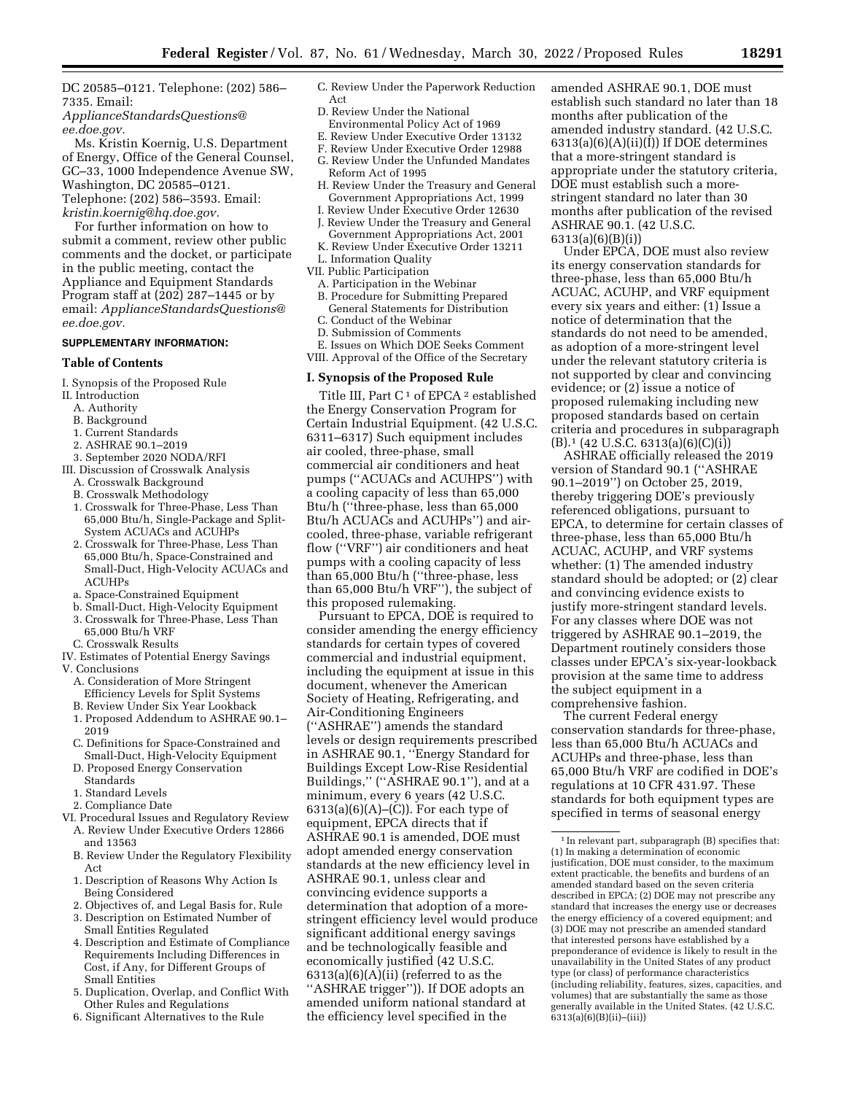DC 20585–0121. Telephone: (202) 586– 7335. Email:

*[ApplianceStandardsQuestions@](mailto:ApplianceStandardsQuestions@ee.doe.gov) [ee.doe.gov.](mailto:ApplianceStandardsQuestions@ee.doe.gov)* 

Ms. Kristin Koernig, U.S. Department of Energy, Office of the General Counsel, GC–33, 1000 Independence Avenue SW, Washington, DC 20585–0121. Telephone: (202) 586–3593. Email: *[kristin.koernig@hq.doe.gov.](mailto:kristin.koernig@hq.doe.gov)* 

For further information on how to submit a comment, review other public comments and the docket, or participate in the public meeting, contact the Appliance and Equipment Standards Program staff at (202) 287–1445 or by email: *[ApplianceStandardsQuestions@](mailto:ApplianceStandardsQuestions@ee.doe.gov) [ee.doe.gov.](mailto:ApplianceStandardsQuestions@ee.doe.gov)* 

#### **SUPPLEMENTARY INFORMATION:**

## **Table of Contents**

I. Synopsis of the Proposed Rule

- II. Introduction
	- A. Authority
	- B. Background
	- 1. Current Standards
	- 2. ASHRAE 90.1–2019
- 3. September 2020 NODA/RFI
- III. Discussion of Crosswalk Analysis
	- A. Crosswalk Background
	- B. Crosswalk Methodology
	- 1. Crosswalk for Three-Phase, Less Than 65,000 Btu/h, Single-Package and Split-System ACUACs and ACUHPs
	- 2. Crosswalk for Three-Phase, Less Than 65,000 Btu/h, Space-Constrained and Small-Duct, High-Velocity ACUACs and **ACUHPs**
	- a. Space-Constrained Equipment
	- b. Small-Duct, High-Velocity Equipment 3. Crosswalk for Three-Phase, Less Than
	- 65,000 Btu/h VRF
- C. Crosswalk Results
- IV. Estimates of Potential Energy Savings V. Conclusions
	- A. Consideration of More Stringent
	- Efficiency Levels for Split Systems
	- B. Review Under Six Year Lookback
	- 1. Proposed Addendum to ASHRAE 90.1– 2019
	- C. Definitions for Space-Constrained and Small-Duct, High-Velocity Equipment
	- D. Proposed Energy Conservation
	- **Standards**
	- 1. Standard Levels
	- 2. Compliance Date
- VI. Procedural Issues and Regulatory Review A. Review Under Executive Orders 12866 and 13563
	- B. Review Under the Regulatory Flexibility Act
	- 1. Description of Reasons Why Action Is Being Considered
	- 2. Objectives of, and Legal Basis for, Rule
	- 3. Description on Estimated Number of Small Entities Regulated
	- 4. Description and Estimate of Compliance Requirements Including Differences in Cost, if Any, for Different Groups of Small Entities
	- 5. Duplication, Overlap, and Conflict With Other Rules and Regulations
	- 6. Significant Alternatives to the Rule
- C. Review Under the Paperwork Reduction Act
- D. Review Under the National
- Environmental Policy Act of 1969 E. Review Under Executive Order 13132
- F. Review Under Executive Order 12988
- G. Review Under the Unfunded Mandates
- Reform Act of 1995
- H. Review Under the Treasury and General Government Appropriations Act, 1999
- I. Review Under Executive Order 12630
- J. Review Under the Treasury and General Government Appropriations Act, 2001 K. Review Under Executive Order 13211
- L. Information Quality
- VII. Public Participation
- A. Participation in the Webinar
- B. Procedure for Submitting Prepared General Statements for Distribution
- C. Conduct of the Webinar
- D. Submission of Comments

E. Issues on Which DOE Seeks Comment VIII. Approval of the Office of the Secretary

#### **I. Synopsis of the Proposed Rule**

Title III, Part  $C<sup>1</sup>$  of EPCA<sup>2</sup> established the Energy Conservation Program for Certain Industrial Equipment. (42 U.S.C. 6311–6317) Such equipment includes air cooled, three-phase, small commercial air conditioners and heat pumps (''ACUACs and ACUHPS'') with a cooling capacity of less than 65,000 Btu/h (''three-phase, less than 65,000 Btu/h ACUACs and ACUHPs'') and aircooled, three-phase, variable refrigerant flow (''VRF'') air conditioners and heat pumps with a cooling capacity of less than 65,000 Btu/h (''three-phase, less than 65,000 Btu/h VRF''), the subject of this proposed rulemaking.

Pursuant to EPCA, DOE is required to consider amending the energy efficiency standards for certain types of covered commercial and industrial equipment, including the equipment at issue in this document, whenever the American Society of Heating, Refrigerating, and Air-Conditioning Engineers (''ASHRAE'') amends the standard levels or design requirements prescribed in ASHRAE 90.1, ''Energy Standard for Buildings Except Low-Rise Residential Buildings," ("ASHRAE 90.1"), and at a minimum, every 6 years (42 U.S.C.  $6313(a)(6)(A)$ – $(C)$ ). For each type of equipment, EPCA directs that if ASHRAE 90.1 is amended, DOE must adopt amended energy conservation standards at the new efficiency level in ASHRAE 90.1, unless clear and convincing evidence supports a determination that adoption of a morestringent efficiency level would produce significant additional energy savings and be technologically feasible and economically justified (42 U.S.C.  $6313(a)(6)(A)(ii)$  (referred to as the ''ASHRAE trigger'')). If DOE adopts an amended uniform national standard at the efficiency level specified in the

amended ASHRAE 90.1, DOE must establish such standard no later than 18 months after publication of the amended industry standard. (42 U.S.C.  $6313(a)(6)(A)(ii)(I)$  If DOE determines that a more-stringent standard is appropriate under the statutory criteria, DOE must establish such a morestringent standard no later than 30 months after publication of the revised ASHRAE 90.1. (42 U.S.C. 6313(a)(6)(B)(i))

Under EPCA, DOE must also review its energy conservation standards for three-phase, less than 65,000 Btu/h ACUAC, ACUHP, and VRF equipment every six years and either: (1) Issue a notice of determination that the standards do not need to be amended, as adoption of a more-stringent level under the relevant statutory criteria is not supported by clear and convincing evidence; or (2) issue a notice of proposed rulemaking including new proposed standards based on certain criteria and procedures in subparagraph  $(B)$ .<sup>1</sup> (42 U.S.C. 6313(a)(6)(C)(i))

ASHRAE officially released the 2019 version of Standard 90.1 (''ASHRAE 90.1–2019'') on October 25, 2019, thereby triggering DOE's previously referenced obligations, pursuant to EPCA, to determine for certain classes of three-phase, less than 65,000 Btu/h ACUAC, ACUHP, and VRF systems whether: (1) The amended industry standard should be adopted; or (2) clear and convincing evidence exists to justify more-stringent standard levels. For any classes where DOE was not triggered by ASHRAE 90.1–2019, the Department routinely considers those classes under EPCA's six-year-lookback provision at the same time to address the subject equipment in a comprehensive fashion.

The current Federal energy conservation standards for three-phase, less than 65,000 Btu/h ACUACs and ACUHPs and three-phase, less than 65,000 Btu/h VRF are codified in DOE's regulations at 10 CFR 431.97. These standards for both equipment types are specified in terms of seasonal energy

<sup>1</sup> In relevant part, subparagraph (B) specifies that: (1) In making a determination of economic justification, DOE must consider, to the maximum extent practicable, the benefits and burdens of an amended standard based on the seven criteria described in EPCA; (2) DOE may not prescribe any standard that increases the energy use or decreases the energy efficiency of a covered equipment; and (3) DOE may not prescribe an amended standard that interested persons have established by a preponderance of evidence is likely to result in the unavailability in the United States of any product type (or class) of performance characteristics (including reliability, features, sizes, capacities, and volumes) that are substantially the same as those generally available in the United States. (42 U.S.C.  $6313(a)(6)(B)(ii)–(iii)$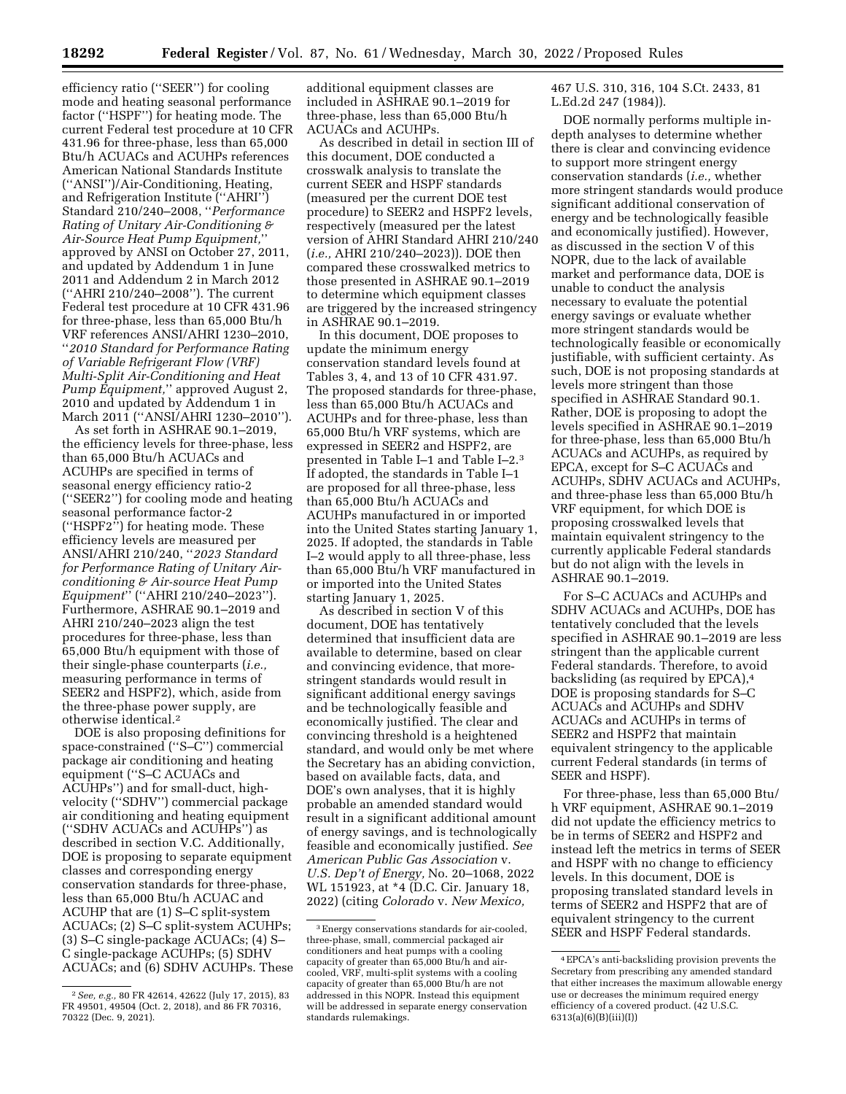efficiency ratio (''SEER'') for cooling mode and heating seasonal performance factor (''HSPF'') for heating mode. The current Federal test procedure at 10 CFR 431.96 for three-phase, less than 65,000 Btu/h ACUACs and ACUHPs references American National Standards Institute (''ANSI'')/Air-Conditioning, Heating, and Refrigeration Institute (''AHRI'') Standard 210/240–2008, ''*Performance Rating of Unitary Air-Conditioning & Air-Source Heat Pump Equipment,*'' approved by ANSI on October 27, 2011, and updated by Addendum 1 in June 2011 and Addendum 2 in March 2012 (''AHRI 210/240–2008''). The current Federal test procedure at 10 CFR 431.96 for three-phase, less than 65,000 Btu/h VRF references ANSI/AHRI 1230–2010, ''*2010 Standard for Performance Rating of Variable Refrigerant Flow (VRF) Multi-Split Air-Conditioning and Heat Pump Equipment,*'' approved August 2, 2010 and updated by Addendum 1 in March 2011 (''ANSI/AHRI 1230–2010'').

As set forth in ASHRAE 90.1–2019, the efficiency levels for three-phase, less than 65,000 Btu/h ACUACs and ACUHPs are specified in terms of seasonal energy efficiency ratio-2 (''SEER2'') for cooling mode and heating seasonal performance factor-2 (''HSPF2'') for heating mode. These efficiency levels are measured per ANSI/AHRI 210/240, ''*2023 Standard for Performance Rating of Unitary Airconditioning & Air-source Heat Pump Equipment*'' (''AHRI 210/240–2023''). Furthermore, ASHRAE 90.1–2019 and AHRI 210/240–2023 align the test procedures for three-phase, less than 65,000 Btu/h equipment with those of their single-phase counterparts (*i.e.,*  measuring performance in terms of SEER2 and HSPF2), which, aside from the three-phase power supply, are otherwise identical.2

DOE is also proposing definitions for space-constrained (''S–C'') commercial package air conditioning and heating equipment (''S–C ACUACs and ACUHPs'') and for small-duct, highvelocity (''SDHV'') commercial package air conditioning and heating equipment (''SDHV ACUACs and ACUHPs'') as described in section V.C. Additionally, DOE is proposing to separate equipment classes and corresponding energy conservation standards for three-phase, less than 65,000 Btu/h ACUAC and ACUHP that are (1) S–C split-system ACUACs; (2) S–C split-system ACUHPs; (3) S–C single-package ACUACs; (4) S– C single-package ACUHPs; (5) SDHV ACUACs; and (6) SDHV ACUHPs. These

additional equipment classes are included in ASHRAE 90.1–2019 for three-phase, less than 65,000 Btu/h ACUACs and ACUHPs.

As described in detail in section III of this document, DOE conducted a crosswalk analysis to translate the current SEER and HSPF standards (measured per the current DOE test procedure) to SEER2 and HSPF2 levels, respectively (measured per the latest version of AHRI Standard AHRI 210/240 (*i.e.,* AHRI 210/240–2023)). DOE then compared these crosswalked metrics to those presented in ASHRAE 90.1–2019 to determine which equipment classes are triggered by the increased stringency in ASHRAE 90.1–2019.

In this document, DOE proposes to update the minimum energy conservation standard levels found at Tables 3, 4, and 13 of 10 CFR 431.97. The proposed standards for three-phase, less than 65,000 Btu/h ACUACs and ACUHPs and for three-phase, less than 65,000 Btu/h VRF systems, which are expressed in SEER2 and HSPF2, are presented in Table I–1 and Table I–2.3 If adopted, the standards in Table I–1 are proposed for all three-phase, less than 65,000 Btu/h ACUACs and ACUHPs manufactured in or imported into the United States starting January 1, 2025. If adopted, the standards in Table I–2 would apply to all three-phase, less than 65,000 Btu/h VRF manufactured in or imported into the United States starting January 1, 2025.

As described in section V of this document, DOE has tentatively determined that insufficient data are available to determine, based on clear and convincing evidence, that morestringent standards would result in significant additional energy savings and be technologically feasible and economically justified. The clear and convincing threshold is a heightened standard, and would only be met where the Secretary has an abiding conviction, based on available facts, data, and DOE's own analyses, that it is highly probable an amended standard would result in a significant additional amount of energy savings, and is technologically feasible and economically justified. *See American Public Gas Association* v. *U.S. Dep't of Energy,* No. 20–1068, 2022 WL 151923, at \*4 (D.C. Cir. January 18, 2022) (citing *Colorado* v. *New Mexico,* 

467 U.S. 310, 316, 104 S.Ct. 2433, 81 L.Ed.2d 247 (1984)).

DOE normally performs multiple indepth analyses to determine whether there is clear and convincing evidence to support more stringent energy conservation standards (*i.e.,* whether more stringent standards would produce significant additional conservation of energy and be technologically feasible and economically justified). However, as discussed in the section V of this NOPR, due to the lack of available market and performance data, DOE is unable to conduct the analysis necessary to evaluate the potential energy savings or evaluate whether more stringent standards would be technologically feasible or economically justifiable, with sufficient certainty. As such, DOE is not proposing standards at levels more stringent than those specified in ASHRAE Standard 90.1. Rather, DOE is proposing to adopt the levels specified in ASHRAE 90.1–2019 for three-phase, less than 65,000 Btu/h ACUACs and ACUHPs, as required by EPCA, except for S–C ACUACs and ACUHPs, SDHV ACUACs and ACUHPs, and three-phase less than 65,000 Btu/h VRF equipment, for which DOE is proposing crosswalked levels that maintain equivalent stringency to the currently applicable Federal standards but do not align with the levels in ASHRAE 90.1–2019.

For S–C ACUACs and ACUHPs and SDHV ACUACs and ACUHPs, DOE has tentatively concluded that the levels specified in ASHRAE 90.1–2019 are less stringent than the applicable current Federal standards. Therefore, to avoid backsliding (as required by EPCA),4 DOE is proposing standards for S–C ACUACs and ACUHPs and SDHV ACUACs and ACUHPs in terms of SEER2 and HSPF2 that maintain equivalent stringency to the applicable current Federal standards (in terms of SEER and HSPF).

For three-phase, less than 65,000 Btu/ h VRF equipment, ASHRAE 90.1–2019 did not update the efficiency metrics to be in terms of SEER2 and HSPF2 and instead left the metrics in terms of SEER and HSPF with no change to efficiency levels. In this document, DOE is proposing translated standard levels in terms of SEER2 and HSPF2 that are of equivalent stringency to the current SEER and HSPF Federal standards.

<sup>2</sup>*See, e.g.,* 80 FR 42614, 42622 (July 17, 2015), 83 FR 49501, 49504 (Oct. 2, 2018), and 86 FR 70316, 70322 (Dec. 9, 2021).

<sup>3</sup>Energy conservations standards for air-cooled, three-phase, small, commercial packaged air conditioners and heat pumps with a cooling capacity of greater than 65,000 Btu/h and aircooled, VRF, multi-split systems with a cooling capacity of greater than 65,000 Btu/h are not addressed in this NOPR. Instead this equipment will be addressed in separate energy conservation standards rulemakings.

 $^4\overline{\mathrm{EPC}}$  anti-backsliding provision prevents the Secretary from prescribing any amended standard that either increases the maximum allowable energy use or decreases the minimum required energy efficiency of a covered product. (42 U.S.C. 6313(a)(6)(B)(iii)(I))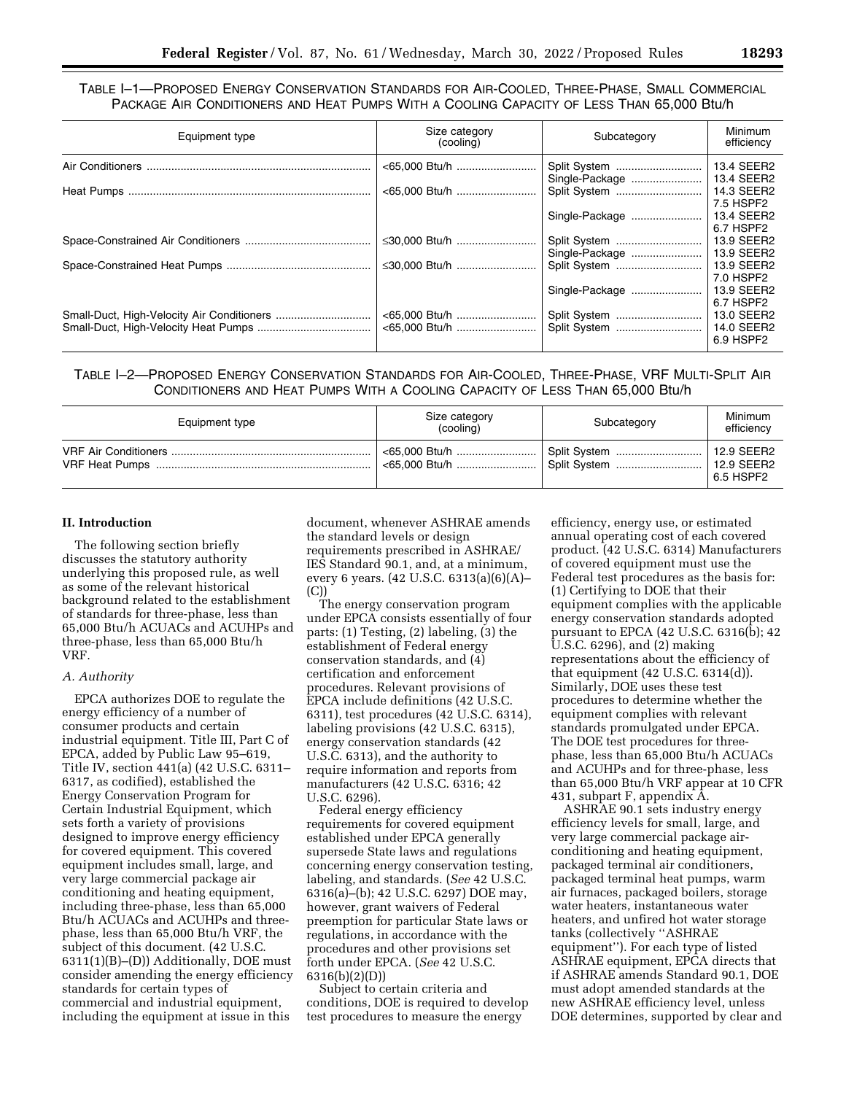TABLE I–1—PROPOSED ENERGY CONSERVATION STANDARDS FOR AIR-COOLED, THREE-PHASE, SMALL COMMERCIAL PACKAGE AIR CONDITIONERS AND HEAT PUMPS WITH A COOLING CAPACITY OF LESS THAN 65,000 Btu/h

| Equipment type | Size category<br>(cooling) | Subcategory                    | Minimum<br>efficiency                 |
|----------------|----------------------------|--------------------------------|---------------------------------------|
|                | <65,000 Btu/h              | Split System<br>Single-Package | 13.4 SEER2<br>13.4 SEER2              |
|                |                            | Split System                   | 14.3 SEER2<br>7.5 HSPF2               |
|                |                            | Single-Package                 | 13.4 SEER2<br>6.7 HSPF2               |
|                | ≤30,000 Btu/h              | Split System                   | 13.9 SEER2                            |
|                |                            | Single-Package                 | 13.9 SEER2                            |
|                | ≤30,000 Btu/h              | Split System                   | 13.9 SEER2<br>7.0 HSPF2               |
|                |                            | Single-Package                 | 13.9 SEER2<br>6.7 HSPF2               |
|                |                            | Split System<br>Split System   | 13.0 SEER2<br>14.0 SEER2<br>6.9 HSPF2 |

TABLE I–2—PROPOSED ENERGY CONSERVATION STANDARDS FOR AIR-COOLED, THREE-PHASE, VRF MULTI-SPLIT AIR CONDITIONERS AND HEAT PUMPS WITH A COOLING CAPACITY OF LESS THAN 65,000 Btu/h

| Equipment type | Size category<br>(cooling) | Subcategory                  | Minimum<br>efficiency                          |
|----------------|----------------------------|------------------------------|------------------------------------------------|
|                |                            | Split System<br>Split System | $\mid$ 12.9 SEER2<br>  12.9 SEER2<br>6.5 HSPF2 |

## **II. Introduction**

The following section briefly discusses the statutory authority underlying this proposed rule, as well as some of the relevant historical background related to the establishment of standards for three-phase, less than 65,000 Btu/h ACUACs and ACUHPs and three-phase, less than 65,000 Btu/h VRF.

#### *A. Authority*

EPCA authorizes DOE to regulate the energy efficiency of a number of consumer products and certain industrial equipment. Title III, Part C of EPCA, added by Public Law 95–619, Title IV, section 441(a) (42 U.S.C. 6311– 6317, as codified), established the Energy Conservation Program for Certain Industrial Equipment, which sets forth a variety of provisions designed to improve energy efficiency for covered equipment. This covered equipment includes small, large, and very large commercial package air conditioning and heating equipment, including three-phase, less than 65,000 Btu/h ACUACs and ACUHPs and threephase, less than 65,000 Btu/h VRF, the subject of this document. (42 U.S.C. 6311(1)(B)–(D)) Additionally, DOE must consider amending the energy efficiency standards for certain types of commercial and industrial equipment, including the equipment at issue in this

document, whenever ASHRAE amends the standard levels or design requirements prescribed in ASHRAE/ IES Standard 90.1, and, at a minimum, every 6 years. (42 U.S.C. 6313(a)(6)(A)– (C))

The energy conservation program under EPCA consists essentially of four parts: (1) Testing, (2) labeling, (3) the establishment of Federal energy conservation standards, and (4) certification and enforcement procedures. Relevant provisions of EPCA include definitions (42 U.S.C. 6311), test procedures (42 U.S.C. 6314), labeling provisions (42 U.S.C. 6315), energy conservation standards (42 U.S.C. 6313), and the authority to require information and reports from manufacturers (42 U.S.C. 6316; 42 U.S.C. 6296).

Federal energy efficiency requirements for covered equipment established under EPCA generally supersede State laws and regulations concerning energy conservation testing, labeling, and standards. (*See* 42 U.S.C. 6316(a)–(b); 42 U.S.C. 6297) DOE may, however, grant waivers of Federal preemption for particular State laws or regulations, in accordance with the procedures and other provisions set forth under EPCA. (*See* 42 U.S.C. 6316(b)(2)(D))

Subject to certain criteria and conditions, DOE is required to develop test procedures to measure the energy

efficiency, energy use, or estimated annual operating cost of each covered product. (42 U.S.C. 6314) Manufacturers of covered equipment must use the Federal test procedures as the basis for: (1) Certifying to DOE that their equipment complies with the applicable energy conservation standards adopted pursuant to EPCA (42 U.S.C. 6316(b); 42 U.S.C. 6296), and (2) making representations about the efficiency of that equipment  $(42 \text{ U.S.C. } 6314 \text{ (d)}).$ Similarly, DOE uses these test procedures to determine whether the equipment complies with relevant standards promulgated under EPCA. The DOE test procedures for threephase, less than 65,000 Btu/h ACUACs and ACUHPs and for three-phase, less than 65,000 Btu/h VRF appear at 10 CFR 431, subpart F, appendix A.

ASHRAE 90.1 sets industry energy efficiency levels for small, large, and very large commercial package airconditioning and heating equipment, packaged terminal air conditioners, packaged terminal heat pumps, warm air furnaces, packaged boilers, storage water heaters, instantaneous water heaters, and unfired hot water storage tanks (collectively ''ASHRAE equipment''). For each type of listed ASHRAE equipment, EPCA directs that if ASHRAE amends Standard 90.1, DOE must adopt amended standards at the new ASHRAE efficiency level, unless DOE determines, supported by clear and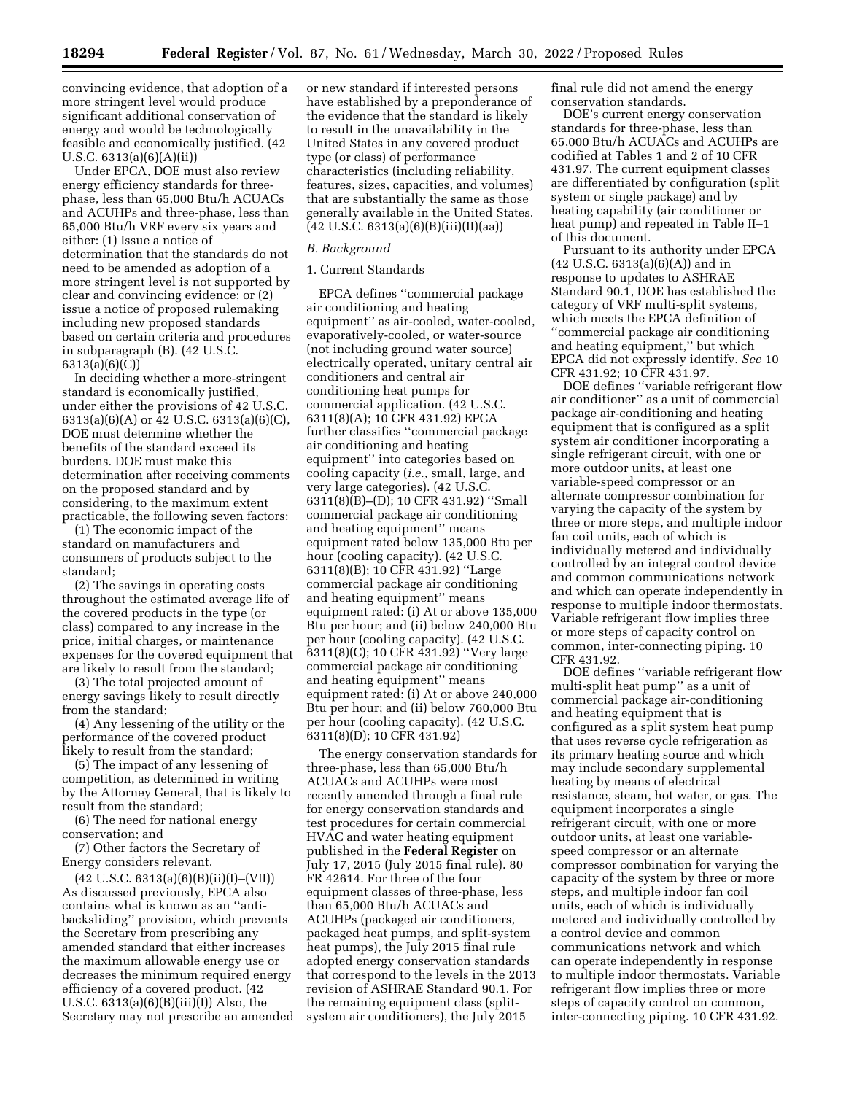convincing evidence, that adoption of a more stringent level would produce significant additional conservation of energy and would be technologically feasible and economically justified. (42 U.S.C. 6313(a)(6)(A)(ii))

Under EPCA, DOE must also review energy efficiency standards for threephase, less than 65,000 Btu/h ACUACs and ACUHPs and three-phase, less than 65,000 Btu/h VRF every six years and either: (1) Issue a notice of determination that the standards do not need to be amended as adoption of a more stringent level is not supported by clear and convincing evidence; or (2) issue a notice of proposed rulemaking including new proposed standards based on certain criteria and procedures in subparagraph (B). (42 U.S.C. 6313(a)(6)(C))

In deciding whether a more-stringent standard is economically justified, under either the provisions of 42 U.S.C. 6313(a)(6)(A) or 42 U.S.C. 6313(a)(6)(C), DOE must determine whether the benefits of the standard exceed its burdens. DOE must make this determination after receiving comments on the proposed standard and by considering, to the maximum extent practicable, the following seven factors:

(1) The economic impact of the standard on manufacturers and consumers of products subject to the standard;

(2) The savings in operating costs throughout the estimated average life of the covered products in the type (or class) compared to any increase in the price, initial charges, or maintenance expenses for the covered equipment that are likely to result from the standard;

(3) The total projected amount of energy savings likely to result directly from the standard;

(4) Any lessening of the utility or the performance of the covered product likely to result from the standard;

(5) The impact of any lessening of competition, as determined in writing by the Attorney General, that is likely to result from the standard;

(6) The need for national energy conservation; and

(7) Other factors the Secretary of Energy considers relevant.

 $(42 \text{ U.S.C. } 6313(a)(6)(B)(ii)(I)–(VII))$ As discussed previously, EPCA also contains what is known as an ''antibacksliding'' provision, which prevents the Secretary from prescribing any amended standard that either increases the maximum allowable energy use or decreases the minimum required energy efficiency of a covered product. (42 U.S.C.  $6313(a)(6)(B)(iii)(I)$  Also, the Secretary may not prescribe an amended or new standard if interested persons have established by a preponderance of the evidence that the standard is likely to result in the unavailability in the United States in any covered product type (or class) of performance characteristics (including reliability, features, sizes, capacities, and volumes) that are substantially the same as those generally available in the United States.  $(42 \text{ U.S.C. } 6313(a)(6)(B)(iii)(I)(aa))$ 

# *B. Background*

## 1. Current Standards

EPCA defines ''commercial package air conditioning and heating equipment'' as air-cooled, water-cooled, evaporatively-cooled, or water-source (not including ground water source) electrically operated, unitary central air conditioners and central air conditioning heat pumps for commercial application. (42 U.S.C. 6311(8)(A); 10 CFR 431.92) EPCA further classifies ''commercial package air conditioning and heating equipment'' into categories based on cooling capacity (*i.e.,* small, large, and very large categories). (42 U.S.C. 6311(8)(B)–(D); 10 CFR 431.92) ''Small commercial package air conditioning and heating equipment'' means equipment rated below 135,000 Btu per hour (cooling capacity). (42 U.S.C. 6311(8)(B); 10 CFR 431.92) ''Large commercial package air conditioning and heating equipment'' means equipment rated: (i) At or above 135,000 Btu per hour; and (ii) below 240,000 Btu per hour (cooling capacity). (42 U.S.C. 6311(8)(C); 10 CFR 431.92) ''Very large commercial package air conditioning and heating equipment'' means equipment rated: (i) At or above 240,000 Btu per hour; and (ii) below 760,000 Btu per hour (cooling capacity). (42 U.S.C. 6311(8)(D); 10 CFR 431.92)

The energy conservation standards for three-phase, less than 65,000 Btu/h ACUACs and ACUHPs were most recently amended through a final rule for energy conservation standards and test procedures for certain commercial HVAC and water heating equipment published in the **Federal Register** on July 17, 2015 (July 2015 final rule). 80 FR 42614. For three of the four equipment classes of three-phase, less than 65,000 Btu/h ACUACs and ACUHPs (packaged air conditioners, packaged heat pumps, and split-system heat pumps), the July 2015 final rule adopted energy conservation standards that correspond to the levels in the 2013 revision of ASHRAE Standard 90.1. For the remaining equipment class (splitsystem air conditioners), the July 2015

final rule did not amend the energy conservation standards.

DOE's current energy conservation standards for three-phase, less than 65,000 Btu/h ACUACs and ACUHPs are codified at Tables 1 and 2 of 10 CFR 431.97. The current equipment classes are differentiated by configuration (split system or single package) and by heating capability (air conditioner or heat pump) and repeated in Table II–1 of this document.

Pursuant to its authority under EPCA (42 U.S.C. 6313(a)(6)(A)) and in response to updates to ASHRAE Standard 90.1, DOE has established the category of VRF multi-split systems, which meets the EPCA definition of ''commercial package air conditioning and heating equipment,'' but which EPCA did not expressly identify. *See* 10 CFR 431.92; 10 CFR 431.97.

DOE defines ''variable refrigerant flow air conditioner'' as a unit of commercial package air-conditioning and heating equipment that is configured as a split system air conditioner incorporating a single refrigerant circuit, with one or more outdoor units, at least one variable-speed compressor or an alternate compressor combination for varying the capacity of the system by three or more steps, and multiple indoor fan coil units, each of which is individually metered and individually controlled by an integral control device and common communications network and which can operate independently in response to multiple indoor thermostats. Variable refrigerant flow implies three or more steps of capacity control on common, inter-connecting piping. 10 CFR 431.92.

DOE defines ''variable refrigerant flow multi-split heat pump'' as a unit of commercial package air-conditioning and heating equipment that is configured as a split system heat pump that uses reverse cycle refrigeration as its primary heating source and which may include secondary supplemental heating by means of electrical resistance, steam, hot water, or gas. The equipment incorporates a single refrigerant circuit, with one or more outdoor units, at least one variablespeed compressor or an alternate compressor combination for varying the capacity of the system by three or more steps, and multiple indoor fan coil units, each of which is individually metered and individually controlled by a control device and common communications network and which can operate independently in response to multiple indoor thermostats. Variable refrigerant flow implies three or more steps of capacity control on common, inter-connecting piping. 10 CFR 431.92.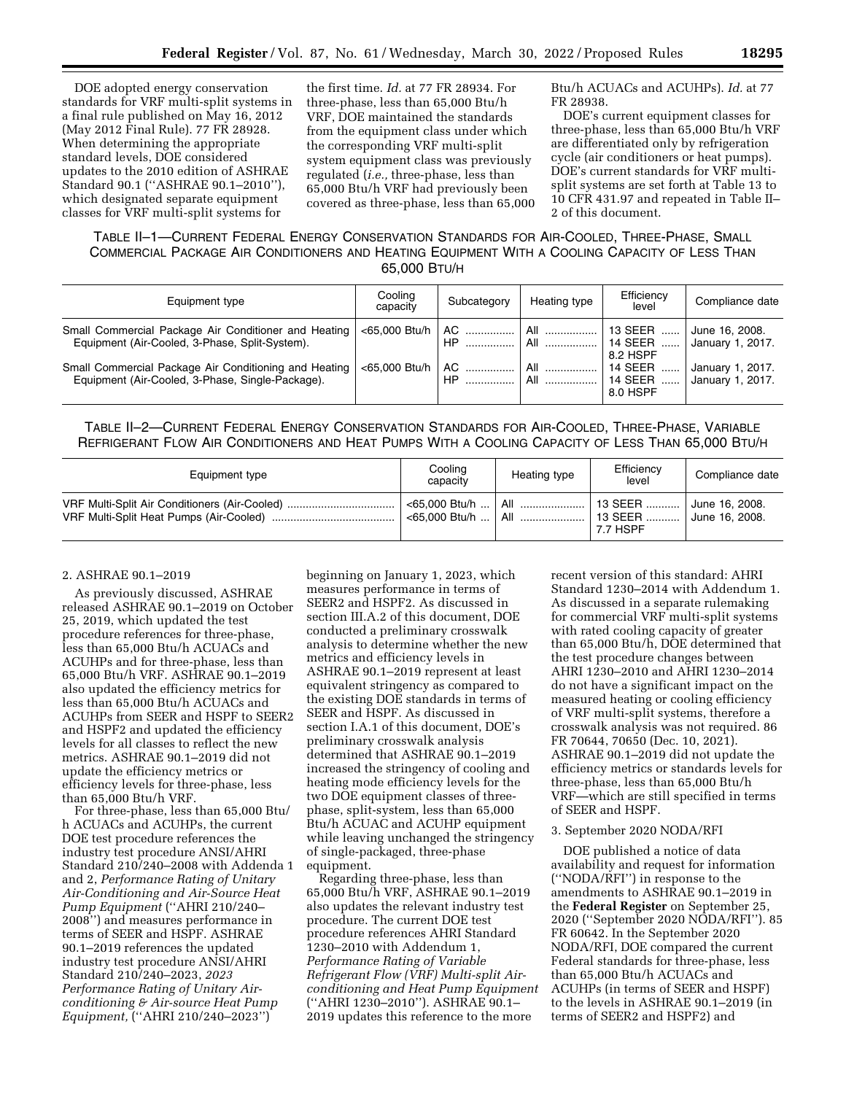DOE adopted energy conservation standards for VRF multi-split systems in a final rule published on May 16, 2012 (May 2012 Final Rule). 77 FR 28928. When determining the appropriate standard levels, DOE considered updates to the 2010 edition of ASHRAE Standard 90.1 (''ASHRAE 90.1–2010''), which designated separate equipment classes for VRF multi-split systems for

the first time. *Id.* at 77 FR 28934. For three-phase, less than 65,000 Btu/h VRF, DOE maintained the standards from the equipment class under which the corresponding VRF multi-split system equipment class was previously regulated (*i.e.,* three-phase, less than 65,000 Btu/h VRF had previously been covered as three-phase, less than 65,000

Btu/h ACUACs and ACUHPs). *Id.* at 77 FR 28938.

DOE's current equipment classes for three-phase, less than 65,000 Btu/h VRF are differentiated only by refrigeration cycle (air conditioners or heat pumps). DOE's current standards for VRF multisplit systems are set forth at Table 13 to 10 CFR 431.97 and repeated in Table II– 2 of this document.

# TABLE II–1—CURRENT FEDERAL ENERGY CONSERVATION STANDARDS FOR AIR-COOLED, THREE-PHASE, SMALL COMMERCIAL PACKAGE AIR CONDITIONERS AND HEATING EQUIPMENT WITH A COOLING CAPACITY OF LESS THAN 65,000 BTU/H

| Equipment type                                                                                            | Cooling<br>capacity | Subcategory                  | Heating type        | Efficiency<br>level              | Compliance date                      |
|-----------------------------------------------------------------------------------------------------------|---------------------|------------------------------|---------------------|----------------------------------|--------------------------------------|
| Small Commercial Package Air Conditioner and Heating<br>Equipment (Air-Cooled, 3-Phase, Split-System).    |                     | $<$ 65.000 Btu/h   AC<br>HP. | All<br>. All ……………… | 13 SEER<br>l 14 SEER<br>8.2 HSPF | June 16, 2008.<br>January 1, 2017.   |
| Small Commercial Package Air Conditioning and Heating<br>Equipment (Air-Cooled, 3-Phase, Single-Package). | <65,000 Btu/h       | AC<br>HP                     | All<br>. All ……………… | 14 SEER<br>14 SEER<br>8.0 HSPF   | January 1, 2017.<br>January 1, 2017. |

TABLE II–2—CURRENT FEDERAL ENERGY CONSERVATION STANDARDS FOR AIR-COOLED, THREE-PHASE, VARIABLE REFRIGERANT FLOW AIR CONDITIONERS AND HEAT PUMPS WITH A COOLING CAPACITY OF LESS THAN 65,000 BTU/H

| Equipment type                                | Cooling<br>capacity                      | Heating type | Efficiency<br>level                   | Compliance date                               |
|-----------------------------------------------|------------------------------------------|--------------|---------------------------------------|-----------------------------------------------|
| VRF Multi-Split Air Conditioners (Air-Cooled) | <65.000 Btu/h<br>$<$ 65.000 Btu/h    All | : All        | □ 13 SEER  Ⅰ<br>│ 13 SEER<br>7.7 HSPF | June 16, 2008.<br><sup>1</sup> June 16, 2008. |

#### 2. ASHRAE 90.1–2019

As previously discussed, ASHRAE released ASHRAE 90.1–2019 on October 25, 2019, which updated the test procedure references for three-phase, less than 65,000 Btu/h ACUACs and ACUHPs and for three-phase, less than 65,000 Btu/h VRF. ASHRAE 90.1–2019 also updated the efficiency metrics for less than 65,000 Btu/h ACUACs and ACUHPs from SEER and HSPF to SEER2 and HSPF2 and updated the efficiency levels for all classes to reflect the new metrics. ASHRAE 90.1–2019 did not update the efficiency metrics or efficiency levels for three-phase, less than 65,000 Btu/h VRF.

For three-phase, less than 65,000 Btu/ h ACUACs and ACUHPs, the current DOE test procedure references the industry test procedure ANSI/AHRI Standard 210/240–2008 with Addenda 1 and 2, *Performance Rating of Unitary Air-Conditioning and Air-Source Heat Pump Equipment* (''AHRI 210/240– 2008'') and measures performance in terms of SEER and HSPF. ASHRAE 90.1–2019 references the updated industry test procedure ANSI/AHRI Standard 210/240–2023, *2023 Performance Rating of Unitary Airconditioning & Air-source Heat Pump Equipment,* (''AHRI 210/240–2023'')

beginning on January 1, 2023, which measures performance in terms of SEER2 and HSPF2. As discussed in section III.A.2 of this document, DOE conducted a preliminary crosswalk analysis to determine whether the new metrics and efficiency levels in ASHRAE 90.1–2019 represent at least equivalent stringency as compared to the existing DOE standards in terms of SEER and HSPF. As discussed in section I.A.1 of this document, DOE's preliminary crosswalk analysis determined that ASHRAE 90.1–2019 increased the stringency of cooling and heating mode efficiency levels for the two DOE equipment classes of threephase, split-system, less than 65,000 Btu/h ACUAC and ACUHP equipment while leaving unchanged the stringency of single-packaged, three-phase equipment.

Regarding three-phase, less than 65,000 Btu/h VRF, ASHRAE 90.1–2019 also updates the relevant industry test procedure. The current DOE test procedure references AHRI Standard 1230–2010 with Addendum 1, *Performance Rating of Variable Refrigerant Flow (VRF) Multi-split Airconditioning and Heat Pump Equipment*  (''AHRI 1230–2010''). ASHRAE 90.1– 2019 updates this reference to the more

recent version of this standard: AHRI Standard 1230–2014 with Addendum 1. As discussed in a separate rulemaking for commercial VRF multi-split systems with rated cooling capacity of greater than 65,000 Btu/h, DOE determined that the test procedure changes between AHRI 1230–2010 and AHRI 1230–2014 do not have a significant impact on the measured heating or cooling efficiency of VRF multi-split systems, therefore a crosswalk analysis was not required. 86 FR 70644, 70650 (Dec. 10, 2021). ASHRAE 90.1–2019 did not update the efficiency metrics or standards levels for three-phase, less than 65,000 Btu/h VRF—which are still specified in terms of SEER and HSPF.

#### 3. September 2020 NODA/RFI

DOE published a notice of data availability and request for information (''NODA/RFI'') in response to the amendments to ASHRAE 90.1–2019 in the **Federal Register** on September 25, 2020 (''September 2020 NODA/RFI''). 85 FR 60642. In the September 2020 NODA/RFI, DOE compared the current Federal standards for three-phase, less than 65,000 Btu/h ACUACs and ACUHPs (in terms of SEER and HSPF) to the levels in ASHRAE 90.1–2019 (in terms of SEER2 and HSPF2) and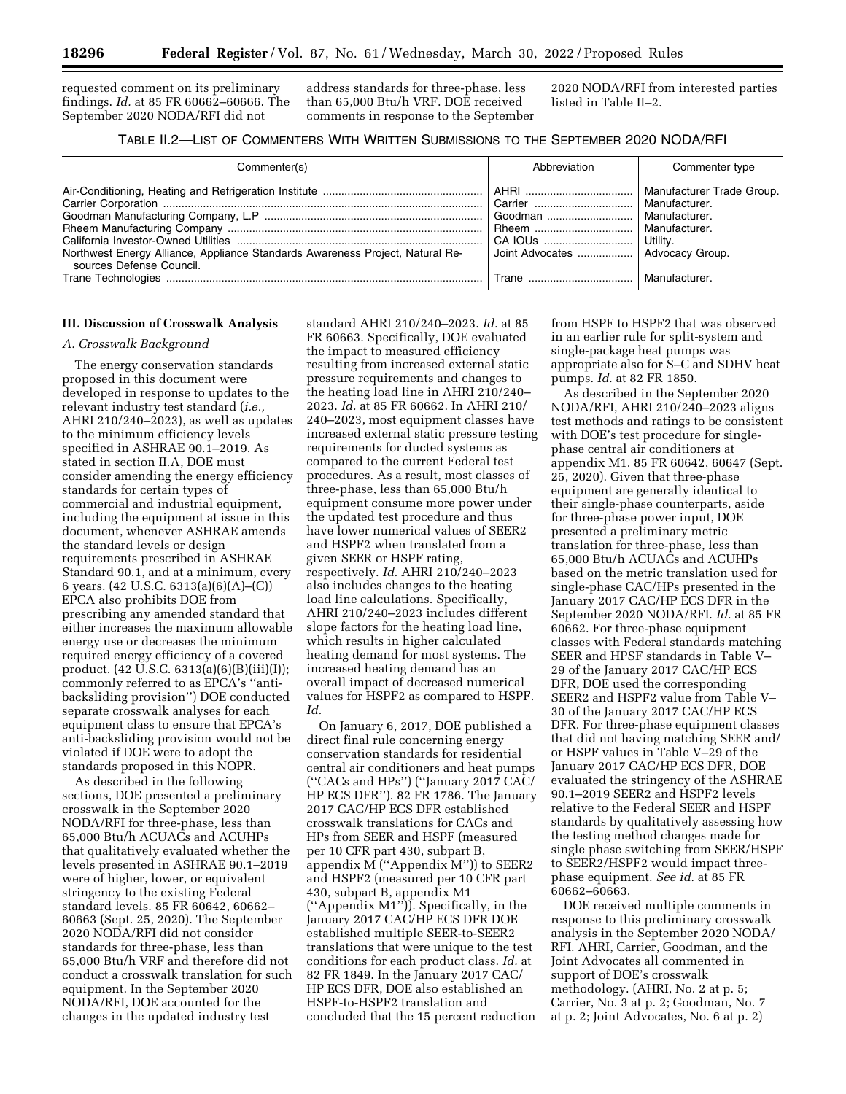requested comment on its preliminary findings. *Id.* at 85 FR 60662–60666. The September 2020 NODA/RFI did not

address standards for three-phase, less than 65,000 Btu/h VRF. DOE received comments in response to the September 2020 NODA/RFI from interested parties listed in Table II–2.

# TABLE II.2—LIST OF COMMENTERS WITH WRITTEN SUBMISSIONS TO THE SEPTEMBER 2020 NODA/RFI

| Commenter(s)                                                                                              | Abbreviation                                                                             | Commenter type                             |
|-----------------------------------------------------------------------------------------------------------|------------------------------------------------------------------------------------------|--------------------------------------------|
| Northwest Energy Alliance, Appliance Standards Awareness Project, Natural Re-<br>sources Defense Council. | Carrier    Manufacturer.<br>Joint Advocates    Advocacy Group.<br>Trane    Manufacturer. | Manufacturer Trade Group.<br>Manufacturer. |

#### **III. Discussion of Crosswalk Analysis**

## *A. Crosswalk Background*

The energy conservation standards proposed in this document were developed in response to updates to the relevant industry test standard (*i.e.,*  AHRI 210/240–2023), as well as updates to the minimum efficiency levels specified in ASHRAE 90.1–2019. As stated in section II.A, DOE must consider amending the energy efficiency standards for certain types of commercial and industrial equipment, including the equipment at issue in this document, whenever ASHRAE amends the standard levels or design requirements prescribed in ASHRAE Standard 90.1, and at a minimum, every 6 years. (42 U.S.C. 6313(a)(6)(A)–(C)) EPCA also prohibits DOE from prescribing any amended standard that either increases the maximum allowable energy use or decreases the minimum required energy efficiency of a covered product. (42 U.S.C. 6313(a)(6)(B)(iii)(I)); commonly referred to as EPCA's ''antibacksliding provision'') DOE conducted separate crosswalk analyses for each equipment class to ensure that EPCA's anti-backsliding provision would not be violated if DOE were to adopt the standards proposed in this NOPR.

As described in the following sections, DOE presented a preliminary crosswalk in the September 2020 NODA/RFI for three-phase, less than 65,000 Btu/h ACUACs and ACUHPs that qualitatively evaluated whether the levels presented in ASHRAE 90.1–2019 were of higher, lower, or equivalent stringency to the existing Federal standard levels. 85 FR 60642, 60662– 60663 (Sept. 25, 2020). The September 2020 NODA/RFI did not consider standards for three-phase, less than 65,000 Btu/h VRF and therefore did not conduct a crosswalk translation for such equipment. In the September 2020 NODA/RFI, DOE accounted for the changes in the updated industry test

standard AHRI 210/240–2023. *Id.* at 85 FR 60663. Specifically, DOE evaluated the impact to measured efficiency resulting from increased external static pressure requirements and changes to the heating load line in AHRI 210/240– 2023. *Id.* at 85 FR 60662. In AHRI 210/ 240–2023, most equipment classes have increased external static pressure testing requirements for ducted systems as compared to the current Federal test procedures. As a result, most classes of three-phase, less than 65,000 Btu/h equipment consume more power under the updated test procedure and thus have lower numerical values of SEER2 and HSPF2 when translated from a given SEER or HSPF rating, respectively. *Id.* AHRI 210/240–2023 also includes changes to the heating load line calculations. Specifically, AHRI 210/240–2023 includes different slope factors for the heating load line, which results in higher calculated heating demand for most systems. The increased heating demand has an overall impact of decreased numerical values for HSPF2 as compared to HSPF. *Id.* 

On January 6, 2017, DOE published a direct final rule concerning energy conservation standards for residential central air conditioners and heat pumps (''CACs and HPs'') (''January 2017 CAC/ HP ECS DFR''). 82 FR 1786. The January 2017 CAC/HP ECS DFR established crosswalk translations for CACs and HPs from SEER and HSPF (measured per 10 CFR part 430, subpart B, appendix M (''Appendix M'')) to SEER2 and HSPF2 (measured per 10 CFR part 430, subpart B, appendix M1 (''Appendix M1'')). Specifically, in the January 2017 CAC/HP ECS DFR DOE established multiple SEER-to-SEER2 translations that were unique to the test conditions for each product class. *Id.* at 82 FR 1849. In the January 2017 CAC/ HP ECS DFR, DOE also established an HSPF-to-HSPF2 translation and concluded that the 15 percent reduction

from HSPF to HSPF2 that was observed in an earlier rule for split-system and single-package heat pumps was appropriate also for S–C and SDHV heat pumps. *Id.* at 82 FR 1850.

As described in the September 2020 NODA/RFI, AHRI 210/240–2023 aligns test methods and ratings to be consistent with DOE's test procedure for singlephase central air conditioners at appendix M1. 85 FR 60642, 60647 (Sept. 25, 2020). Given that three-phase equipment are generally identical to their single-phase counterparts, aside for three-phase power input, DOE presented a preliminary metric translation for three-phase, less than 65,000 Btu/h ACUACs and ACUHPs based on the metric translation used for single-phase CAC/HPs presented in the January 2017 CAC/HP ECS DFR in the September 2020 NODA/RFI. *Id.* at 85 FR 60662. For three-phase equipment classes with Federal standards matching SEER and HPSF standards in Table V– 29 of the January 2017 CAC/HP ECS DFR, DOE used the corresponding SEER2 and HSPF2 value from Table V– 30 of the January 2017 CAC/HP ECS DFR. For three-phase equipment classes that did not having matching SEER and/ or HSPF values in Table V–29 of the January 2017 CAC/HP ECS DFR, DOE evaluated the stringency of the ASHRAE 90.1–2019 SEER2 and HSPF2 levels relative to the Federal SEER and HSPF standards by qualitatively assessing how the testing method changes made for single phase switching from SEER/HSPF to SEER2/HSPF2 would impact threephase equipment. *See id.* at 85 FR 60662–60663.

DOE received multiple comments in response to this preliminary crosswalk analysis in the September 2020 NODA/ RFI. AHRI, Carrier, Goodman, and the Joint Advocates all commented in support of DOE's crosswalk methodology. (AHRI, No. 2 at p. 5; Carrier, No. 3 at p. 2; Goodman, No. 7 at p. 2; Joint Advocates, No. 6 at p. 2)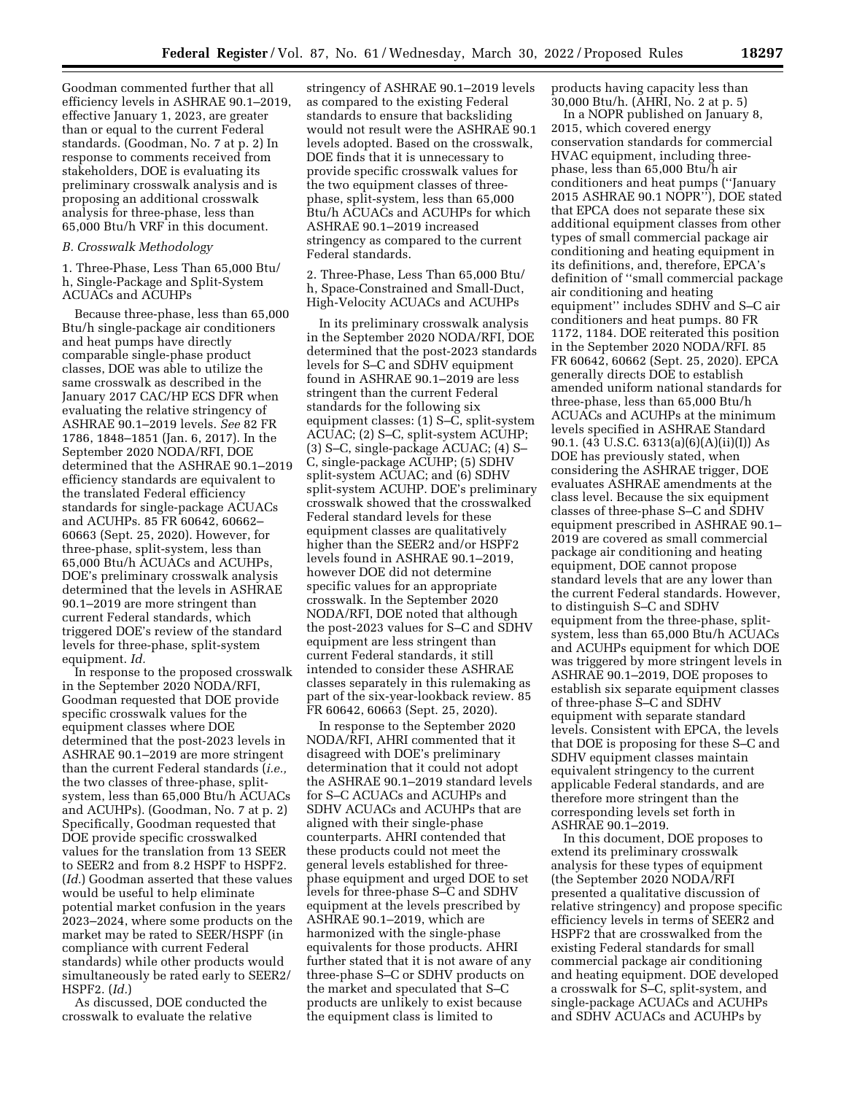Goodman commented further that all efficiency levels in ASHRAE 90.1–2019, effective January 1, 2023, are greater than or equal to the current Federal standards. (Goodman, No. 7 at p. 2) In response to comments received from stakeholders, DOE is evaluating its preliminary crosswalk analysis and is proposing an additional crosswalk analysis for three-phase, less than 65,000 Btu/h VRF in this document.

#### *B. Crosswalk Methodology*

1. Three-Phase, Less Than 65,000 Btu/ h, Single-Package and Split-System ACUACs and ACUHPs

Because three-phase, less than 65,000 Btu/h single-package air conditioners and heat pumps have directly comparable single-phase product classes, DOE was able to utilize the same crosswalk as described in the January 2017 CAC/HP ECS DFR when evaluating the relative stringency of ASHRAE 90.1–2019 levels. *See* 82 FR 1786, 1848–1851 (Jan. 6, 2017). In the September 2020 NODA/RFI, DOE determined that the ASHRAE 90.1–2019 efficiency standards are equivalent to the translated Federal efficiency standards for single-package ACUACs and ACUHPs. 85 FR 60642, 60662– 60663 (Sept. 25, 2020). However, for three-phase, split-system, less than 65,000 Btu/h ACUACs and ACUHPs, DOE's preliminary crosswalk analysis determined that the levels in ASHRAE 90.1–2019 are more stringent than current Federal standards, which triggered DOE's review of the standard levels for three-phase, split-system equipment. *Id.* 

In response to the proposed crosswalk in the September 2020 NODA/RFI, Goodman requested that DOE provide specific crosswalk values for the equipment classes where DOE determined that the post-2023 levels in ASHRAE 90.1–2019 are more stringent than the current Federal standards (*i.e.,*  the two classes of three-phase, splitsystem, less than 65,000 Btu/h ACUACs and ACUHPs). (Goodman, No. 7 at p. 2) Specifically, Goodman requested that DOE provide specific crosswalked values for the translation from 13 SEER to SEER2 and from 8.2 HSPF to HSPF2. (*Id.*) Goodman asserted that these values would be useful to help eliminate potential market confusion in the years 2023–2024, where some products on the market may be rated to SEER/HSPF (in compliance with current Federal standards) while other products would simultaneously be rated early to SEER2/ HSPF2. (*Id.*)

As discussed, DOE conducted the crosswalk to evaluate the relative

stringency of ASHRAE 90.1–2019 levels as compared to the existing Federal standards to ensure that backsliding would not result were the ASHRAE 90.1 levels adopted. Based on the crosswalk, DOE finds that it is unnecessary to provide specific crosswalk values for the two equipment classes of threephase, split-system, less than 65,000 Btu/h ACUACs and ACUHPs for which ASHRAE 90.1–2019 increased stringency as compared to the current Federal standards.

2. Three-Phase, Less Than 65,000 Btu/ h, Space-Constrained and Small-Duct, High-Velocity ACUACs and ACUHPs

In its preliminary crosswalk analysis in the September 2020 NODA/RFI, DOE determined that the post-2023 standards levels for S–C and SDHV equipment found in ASHRAE 90.1–2019 are less stringent than the current Federal standards for the following six equipment classes: (1) S–C, split-system ACUAC; (2) S–C, split-system ACUHP; (3) S–C, single-package ACUAC; (4) S– C, single-package ACUHP; (5) SDHV split-system ACUAC; and (6) SDHV split-system ACUHP. DOE's preliminary crosswalk showed that the crosswalked Federal standard levels for these equipment classes are qualitatively higher than the SEER2 and/or HSPF2 levels found in ASHRAE 90.1–2019, however DOE did not determine specific values for an appropriate crosswalk. In the September 2020 NODA/RFI, DOE noted that although the post-2023 values for S–C and SDHV equipment are less stringent than current Federal standards, it still intended to consider these ASHRAE classes separately in this rulemaking as part of the six-year-lookback review. 85 FR 60642, 60663 (Sept. 25, 2020).

In response to the September 2020 NODA/RFI, AHRI commented that it disagreed with DOE's preliminary determination that it could not adopt the ASHRAE 90.1–2019 standard levels for S–C ACUACs and ACUHPs and SDHV ACUACs and ACUHPs that are aligned with their single-phase counterparts. AHRI contended that these products could not meet the general levels established for threephase equipment and urged DOE to set levels for three-phase S–C and SDHV equipment at the levels prescribed by ASHRAE 90.1–2019, which are harmonized with the single-phase equivalents for those products. AHRI further stated that it is not aware of any three-phase S–C or SDHV products on the market and speculated that S–C products are unlikely to exist because the equipment class is limited to

products having capacity less than 30,000 Btu/h. (AHRI, No. 2 at p. 5)

In a NOPR published on January 8, 2015, which covered energy conservation standards for commercial HVAC equipment, including threephase, less than 65,000 Btu/h air conditioners and heat pumps (''January 2015 ASHRAE 90.1 NOPR''), DOE stated that EPCA does not separate these six additional equipment classes from other types of small commercial package air conditioning and heating equipment in its definitions, and, therefore, EPCA's definition of ''small commercial package air conditioning and heating equipment'' includes SDHV and S–C air conditioners and heat pumps. 80 FR 1172, 1184. DOE reiterated this position in the September 2020 NODA/RFI. 85 FR 60642, 60662 (Sept. 25, 2020). EPCA generally directs DOE to establish amended uniform national standards for three-phase, less than 65,000 Btu/h ACUACs and ACUHPs at the minimum levels specified in ASHRAE Standard 90.1. (43 U.S.C. 6313(a)(6)(A)(ii)(I)) As DOE has previously stated, when considering the ASHRAE trigger, DOE evaluates ASHRAE amendments at the class level. Because the six equipment classes of three-phase S–C and SDHV equipment prescribed in ASHRAE 90.1– 2019 are covered as small commercial package air conditioning and heating equipment, DOE cannot propose standard levels that are any lower than the current Federal standards. However, to distinguish S–C and SDHV equipment from the three-phase, splitsystem, less than 65,000 Btu/h ACUACs and ACUHPs equipment for which DOE was triggered by more stringent levels in ASHRAE 90.1–2019, DOE proposes to establish six separate equipment classes of three-phase S–C and SDHV equipment with separate standard levels. Consistent with EPCA, the levels that DOE is proposing for these S–C and SDHV equipment classes maintain equivalent stringency to the current applicable Federal standards, and are therefore more stringent than the corresponding levels set forth in ASHRAE 90.1–2019.

In this document, DOE proposes to extend its preliminary crosswalk analysis for these types of equipment (the September 2020 NODA/RFI presented a qualitative discussion of relative stringency) and propose specific efficiency levels in terms of SEER2 and HSPF2 that are crosswalked from the existing Federal standards for small commercial package air conditioning and heating equipment. DOE developed a crosswalk for S–C, split-system, and single-package ACUACs and ACUHPs and SDHV ACUACs and ACUHPs by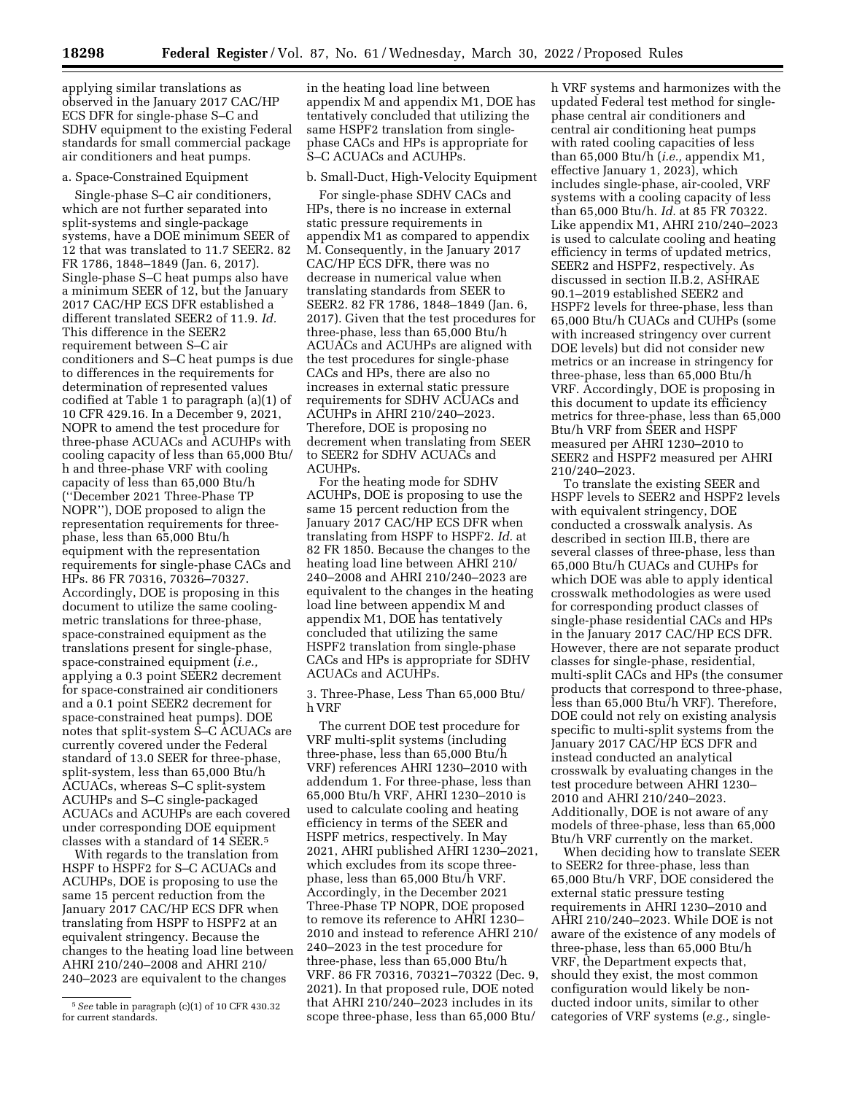applying similar translations as observed in the January 2017 CAC/HP ECS DFR for single-phase S–C and SDHV equipment to the existing Federal standards for small commercial package air conditioners and heat pumps.

#### a. Space-Constrained Equipment

Single-phase S–C air conditioners, which are not further separated into split-systems and single-package systems, have a DOE minimum SEER of 12 that was translated to 11.7 SEER2. 82 FR 1786, 1848–1849 (Jan. 6, 2017). Single-phase S–C heat pumps also have a minimum SEER of 12, but the January 2017 CAC/HP ECS DFR established a different translated SEER2 of 11.9. *Id.*  This difference in the SEER2 requirement between S–C air conditioners and S–C heat pumps is due to differences in the requirements for determination of represented values codified at Table 1 to paragraph (a)(1) of 10 CFR 429.16. In a December 9, 2021, NOPR to amend the test procedure for three-phase ACUACs and ACUHPs with cooling capacity of less than 65,000 Btu/ h and three-phase VRF with cooling capacity of less than 65,000 Btu/h (''December 2021 Three-Phase TP NOPR''), DOE proposed to align the representation requirements for threephase, less than 65,000 Btu/h equipment with the representation requirements for single-phase CACs and HPs. 86 FR 70316, 70326–70327. Accordingly, DOE is proposing in this document to utilize the same coolingmetric translations for three-phase, space-constrained equipment as the translations present for single-phase, space-constrained equipment (*i.e.,*  applying a 0.3 point SEER2 decrement for space-constrained air conditioners and a 0.1 point SEER2 decrement for space-constrained heat pumps). DOE notes that split-system S–C ACUACs are currently covered under the Federal standard of 13.0 SEER for three-phase, split-system, less than 65,000 Btu/h ACUACs, whereas S–C split-system ACUHPs and S–C single-packaged ACUACs and ACUHPs are each covered under corresponding DOE equipment classes with a standard of 14 SEER.5

With regards to the translation from HSPF to HSPF2 for S–C ACUACs and ACUHPs, DOE is proposing to use the same 15 percent reduction from the January 2017 CAC/HP ECS DFR when translating from HSPF to HSPF2 at an equivalent stringency. Because the changes to the heating load line between AHRI 210/240–2008 and AHRI 210/ 240–2023 are equivalent to the changes

in the heating load line between appendix M and appendix M1, DOE has tentatively concluded that utilizing the same HSPF2 translation from singlephase CACs and HPs is appropriate for S–C ACUACs and ACUHPs.

#### b. Small-Duct, High-Velocity Equipment

For single-phase SDHV CACs and HPs, there is no increase in external static pressure requirements in appendix M1 as compared to appendix M. Consequently, in the January 2017 CAC/HP ECS DFR, there was no decrease in numerical value when translating standards from SEER to SEER2. 82 FR 1786, 1848–1849 (Jan. 6, 2017). Given that the test procedures for three-phase, less than 65,000 Btu/h ACUACs and ACUHPs are aligned with the test procedures for single-phase CACs and HPs, there are also no increases in external static pressure requirements for SDHV ACUACs and ACUHPs in AHRI 210/240–2023. Therefore, DOE is proposing no decrement when translating from SEER to SEER2 for SDHV ACUACs and ACUHPs.

For the heating mode for SDHV ACUHPs, DOE is proposing to use the same 15 percent reduction from the January 2017 CAC/HP ECS DFR when translating from HSPF to HSPF2. *Id.* at 82 FR 1850. Because the changes to the heating load line between AHRI 210/ 240–2008 and AHRI 210/240–2023 are equivalent to the changes in the heating load line between appendix M and appendix M1, DOE has tentatively concluded that utilizing the same HSPF2 translation from single-phase CACs and HPs is appropriate for SDHV ACUACs and ACUHPs.

3. Three-Phase, Less Than 65,000 Btu/ h VRF

The current DOE test procedure for VRF multi-split systems (including three-phase, less than 65,000 Btu/h VRF) references AHRI 1230–2010 with addendum 1. For three-phase, less than 65,000 Btu/h VRF, AHRI 1230–2010 is used to calculate cooling and heating efficiency in terms of the SEER and HSPF metrics, respectively. In May 2021, AHRI published AHRI 1230–2021, which excludes from its scope threephase, less than 65,000 Btu/h VRF. Accordingly, in the December 2021 Three-Phase TP NOPR, DOE proposed to remove its reference to AHRI 1230– 2010 and instead to reference AHRI 210/ 240–2023 in the test procedure for three-phase, less than 65,000 Btu/h VRF. 86 FR 70316, 70321–70322 (Dec. 9, 2021). In that proposed rule, DOE noted that AHRI 210/240–2023 includes in its scope three-phase, less than 65,000 Btu/

h VRF systems and harmonizes with the updated Federal test method for singlephase central air conditioners and central air conditioning heat pumps with rated cooling capacities of less than 65,000 Btu/h (*i.e.,* appendix M1, effective January 1, 2023), which includes single-phase, air-cooled, VRF systems with a cooling capacity of less than 65,000 Btu/h. *Id.* at 85 FR 70322. Like appendix M1, AHRI 210/240–2023 is used to calculate cooling and heating efficiency in terms of updated metrics, SEER2 and HSPF2, respectively. As discussed in section II.B.2, ASHRAE 90.1–2019 established SEER2 and HSPF2 levels for three-phase, less than 65,000 Btu/h CUACs and CUHPs (some with increased stringency over current DOE levels) but did not consider new metrics or an increase in stringency for three-phase, less than 65,000 Btu/h VRF. Accordingly, DOE is proposing in this document to update its efficiency metrics for three-phase, less than 65,000 Btu/h VRF from SEER and HSPF measured per AHRI 1230–2010 to SEER2 and HSPF2 measured per AHRI 210/240–2023.

To translate the existing SEER and HSPF levels to SEER2 and HSPF2 levels with equivalent stringency, DOE conducted a crosswalk analysis. As described in section III.B, there are several classes of three-phase, less than 65,000 Btu/h CUACs and CUHPs for which DOE was able to apply identical crosswalk methodologies as were used for corresponding product classes of single-phase residential CACs and HPs in the January 2017 CAC/HP ECS DFR. However, there are not separate product classes for single-phase, residential, multi-split CACs and HPs (the consumer products that correspond to three-phase, less than 65,000 Btu/h VRF). Therefore, DOE could not rely on existing analysis specific to multi-split systems from the January 2017 CAC/HP ECS DFR and instead conducted an analytical crosswalk by evaluating changes in the test procedure between AHRI 1230– 2010 and AHRI 210/240–2023. Additionally, DOE is not aware of any models of three-phase, less than 65,000 Btu/h VRF currently on the market.

When deciding how to translate SEER to SEER2 for three-phase, less than 65,000 Btu/h VRF, DOE considered the external static pressure testing requirements in AHRI 1230–2010 and AHRI 210/240–2023. While DOE is not aware of the existence of any models of three-phase, less than 65,000 Btu/h VRF, the Department expects that, should they exist, the most common configuration would likely be nonducted indoor units, similar to other categories of VRF systems (*e.g.,* single-

<sup>5</sup>*See* table in paragraph (c)(1) of 10 CFR 430.32 for current standards.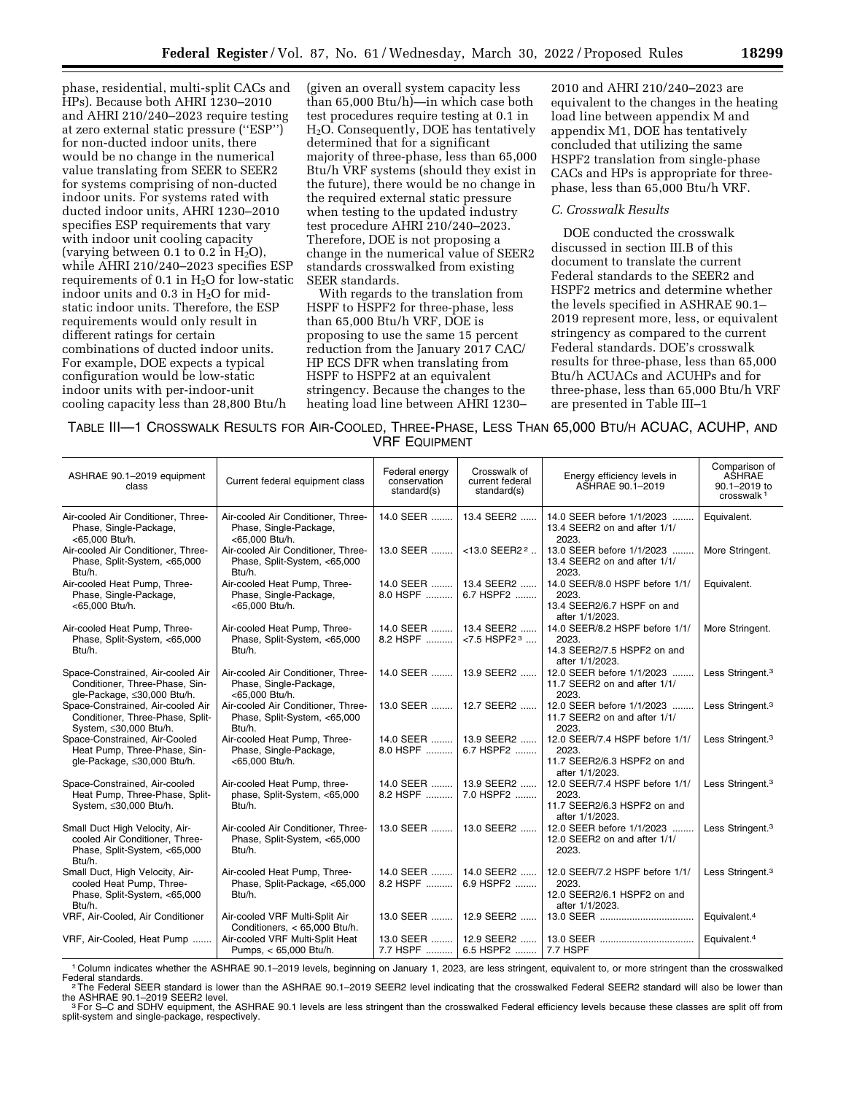phase, residential, multi-split CACs and HPs). Because both AHRI 1230–2010 and AHRI 210/240–2023 require testing at zero external static pressure (''ESP'') for non-ducted indoor units, there would be no change in the numerical value translating from SEER to SEER2 for systems comprising of non-ducted indoor units. For systems rated with ducted indoor units, AHRI 1230–2010 specifies ESP requirements that vary with indoor unit cooling capacity (varying between 0.1 to 0.2 in  $H_2O$ ), while AHRI 210/240–2023 specifies ESP requirements of 0.1 in  $H<sub>2</sub>O$  for low-static indoor units and  $0.3$  in  $H<sub>2</sub>O$  for midstatic indoor units. Therefore, the ESP requirements would only result in different ratings for certain combinations of ducted indoor units. For example, DOE expects a typical configuration would be low-static indoor units with per-indoor-unit cooling capacity less than 28,800 Btu/h

(given an overall system capacity less than 65,000 Btu/h)—in which case both test procedures require testing at 0.1 in H2O. Consequently, DOE has tentatively determined that for a significant majority of three-phase, less than 65,000 Btu/h VRF systems (should they exist in the future), there would be no change in the required external static pressure when testing to the updated industry test procedure AHRI 210/240–2023. Therefore, DOE is not proposing a change in the numerical value of SEER2 standards crosswalked from existing SEER standards.

With regards to the translation from HSPF to HSPF2 for three-phase, less than 65,000 Btu/h VRF, DOE is proposing to use the same 15 percent reduction from the January 2017 CAC/ HP ECS DFR when translating from HSPF to HSPF2 at an equivalent stringency. Because the changes to the heating load line between AHRI 1230–

2010 and AHRI 210/240–2023 are equivalent to the changes in the heating load line between appendix M and appendix M1, DOE has tentatively concluded that utilizing the same HSPF2 translation from single-phase CACs and HPs is appropriate for threephase, less than 65,000 Btu/h VRF.

#### *C. Crosswalk Results*

DOE conducted the crosswalk discussed in section III.B of this document to translate the current Federal standards to the SEER2 and HSPF2 metrics and determine whether the levels specified in ASHRAE 90.1– 2019 represent more, less, or equivalent stringency as compared to the current Federal standards. DOE's crosswalk results for three-phase, less than 65,000 Btu/h ACUACs and ACUHPs and for three-phase, less than 65,000 Btu/h VRF are presented in Table III–1

| TABLE III-1 CROSSWALK RESULTS FOR AIR-COOLED, THREE-PHASE, LESS THAN 65,000 BTU/H ACUAC, ACUHP, AND |  |
|-----------------------------------------------------------------------------------------------------|--|
| <b>VRF EQUIPMENT</b>                                                                                |  |

| Current federal equipment class                                                | Federal energy<br>conservation<br>standard(s)   | Crosswalk of<br>current federal<br>standard(s) | Energy efficiency levels in<br>ASHRAE 90.1-2019                                                                                                                                                       | Comparison of<br>ASHRAE<br>90.1-2019 to<br>crosswalk <sup>1</sup> |
|--------------------------------------------------------------------------------|-------------------------------------------------|------------------------------------------------|-------------------------------------------------------------------------------------------------------------------------------------------------------------------------------------------------------|-------------------------------------------------------------------|
| Air-cooled Air Conditioner, Three-<br>Phase, Single-Package,<br><65.000 Btu/h. | 14.0 SEER                                       | 13.4 SEER2                                     | 14.0 SEER before 1/1/2023<br>13.4 SEER2 on and after 1/1/<br>2023.                                                                                                                                    | Equivalent.                                                       |
| Air-cooled Air Conditioner, Three-<br>Phase, Split-System, <65,000<br>Btu/h.   | 13.0 SEER                                       | $<$ 13.0 SEER2 <sup>2</sup>                    | 13.0 SEER before 1/1/2023<br>13.4 SEER2 on and after 1/1/<br>2023.                                                                                                                                    | More Stringent.                                                   |
| Air-cooled Heat Pump, Three-<br>Phase, Single-Package,<br><65.000 Btu/h.       | 8.0 HSPF                                        | 6.7 HSPF2                                      | 14.0 SEER/8.0 HSPF before 1/1/<br>2023.<br>13.4 SEER2/6.7 HSPF on and<br>after 1/1/2023.                                                                                                              | Equivalent.                                                       |
| Air-cooled Heat Pump, Three-<br>Phase, Split-System, <65,000<br>Btu/h.         | 8.2 HSPF                                        | $<$ 7.5 HSPF2 $3$                              | 14.0 SEER/8.2 HSPF before 1/1/<br>2023.<br>14.3 SEER2/7.5 HSPF2 on and                                                                                                                                | More Stringent.                                                   |
| Air-cooled Air Conditioner, Three-<br>Phase, Single-Package,                   | 14.0 SEER                                       | 13.9 SEER2                                     | 12.0 SEER before 1/1/2023<br>11.7 SEER2 on and after 1/1/<br>2023.                                                                                                                                    | Less Stringent. <sup>3</sup>                                      |
| Air-cooled Air Conditioner, Three-<br>Phase, Split-System, <65,000<br>Btu/h.   |                                                 |                                                | 12.0 SEER before 1/1/2023<br>11.7 SEER2 on and after 1/1/<br>2023.                                                                                                                                    | Less Stringent. <sup>3</sup>                                      |
| Air-cooled Heat Pump, Three-<br>Phase, Single-Package,<br><65.000 Btu/h.       | 8.0 HSPF                                        | 6.7 HSPF2                                      | 12.0 SEER/7.4 HSPF before 1/1/<br>2023.<br>11.7 SEER2/6.3 HSPF2 on and<br>after 1/1/2023.                                                                                                             | Less Stringent. <sup>3</sup>                                      |
| Air-cooled Heat Pump, three-<br>phase, Split-System, <65,000<br>Btu/h.         | 8.2 HSPF                                        | 7.0 HSPF2                                      | 12.0 SEER/7.4 HSPF before 1/1/<br>2023.<br>11.7 SEER2/6.3 HSPF2 on and<br>after 1/1/2023.                                                                                                             | Less Stringent. <sup>3</sup>                                      |
| Air-cooled Air Conditioner, Three-<br>Phase, Split-System, <65,000<br>Btu/h.   |                                                 |                                                | 12.0 SEER before 1/1/2023<br>12.0 SEER2 on and after 1/1/<br>2023.                                                                                                                                    | Less Stringent. <sup>3</sup>                                      |
| Air-cooled Heat Pump, Three-<br>Phase, Split-Package, <65,000<br>Btu/h.        | 8.2 HSPF                                        | 6.9 HSPF2                                      | 12.0 SEER/7.2 HSPF before 1/1/<br>2023.<br>12.0 SEER2/6.1 HSPF2 on and<br>after 1/1/2023.                                                                                                             | Less Stringent. <sup>3</sup>                                      |
| Air-cooled VRF Multi-Split Air                                                 | 13.0 SEER                                       | 12.9 SEER2                                     |                                                                                                                                                                                                       | Equivalent. <sup>4</sup>                                          |
| Air-cooled VRF Multi-Split Heat<br>Pumps, < 65,000 Btu/h.                      | 13.0 SEER                                       | 12.9 SEER2<br>6.5 HSPF2                        | 7.7 HSPF                                                                                                                                                                                              | Equivalent. <sup>4</sup>                                          |
|                                                                                | <65,000 Btu/h.<br>Conditioners, < 65,000 Btu/h. |                                                | 14.0 SEER    13.4 SEER2<br>14.0 SEER    13.4 SEER2<br>13.0 SEER    12.7 SEER2<br>14.0 SEER    13.9 SEER2<br>14.0 SEER    13.9 SEER2<br>13.0 SEER    13.0 SEER2<br>14.0 SEER    14.0 SEER2<br>7.7 HSPF | after 1/1/2023.                                                   |

<sup>1</sup> Column indicates whether the ASHRAE 90.1–2019 levels, beginning on January 1, 2023, are less stringent, equivalent to, or more stringent than the crosswalked<br>Federal standards.

<sup>2</sup>The Federal SEER standard is lower than the ASHRAE 90.1–2019 SEER2 level indicating that the crosswalked Federal SEER2 standard will also be lower than the ASHRAE 90.1–2019 SEER2 level. the ASHRAE 90.1–2019 SEER2 level. 3For S–C and SDHV equipment, the ASHRAE 90.1 levels are less stringent than the crosswalked Federal efficiency levels because these classes are split off from

split-system and single-package, respectively.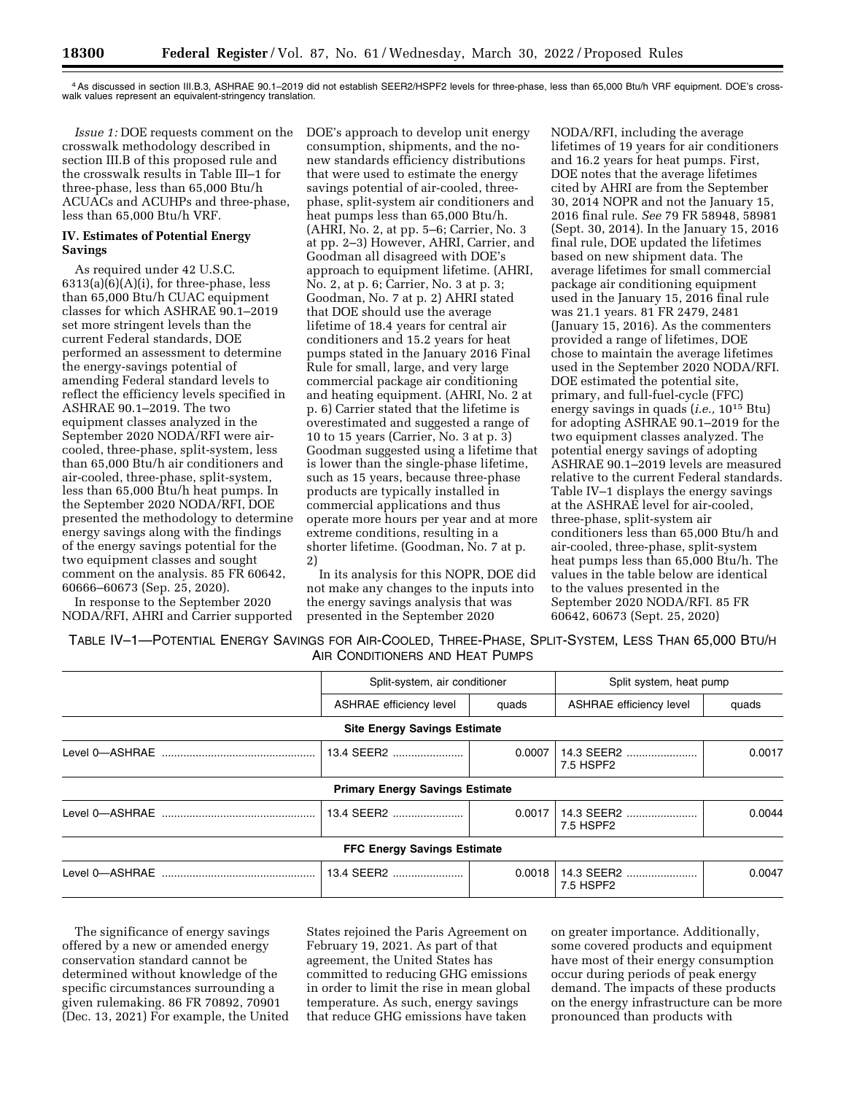4As discussed in section III.B.3, ASHRAE 90.1–2019 did not establish SEER2/HSPF2 levels for three-phase, less than 65,000 Btu/h VRF equipment. DOE's crosswalk values represent an equivalent-stringency translation.

*Issue 1:* DOE requests comment on the crosswalk methodology described in section III.B of this proposed rule and the crosswalk results in Table III–1 for three-phase, less than 65,000 Btu/h ACUACs and ACUHPs and three-phase, less than 65,000 Btu/h VRF.

## **IV. Estimates of Potential Energy Savings**

As required under 42 U.S.C.  $6313(a)(6)(A)(i)$ , for three-phase, less than 65,000 Btu/h CUAC equipment classes for which ASHRAE 90.1–2019 set more stringent levels than the current Federal standards, DOE performed an assessment to determine the energy-savings potential of amending Federal standard levels to reflect the efficiency levels specified in ASHRAE 90.1–2019. The two equipment classes analyzed in the September 2020 NODA/RFI were aircooled, three-phase, split-system, less than 65,000 Btu/h air conditioners and air-cooled, three-phase, split-system, less than 65,000 Btu/h heat pumps. In the September 2020 NODA/RFI, DOE presented the methodology to determine energy savings along with the findings of the energy savings potential for the two equipment classes and sought comment on the analysis. 85 FR 60642, 60666–60673 (Sep. 25, 2020).

In response to the September 2020 NODA/RFI, AHRI and Carrier supported DOE's approach to develop unit energy consumption, shipments, and the nonew standards efficiency distributions that were used to estimate the energy savings potential of air-cooled, threephase, split-system air conditioners and heat pumps less than 65,000 Btu/h. (AHRI, No. 2, at pp. 5–6; Carrier, No. 3 at pp. 2–3) However, AHRI, Carrier, and Goodman all disagreed with DOE's approach to equipment lifetime. (AHRI, No. 2, at p. 6; Carrier, No. 3 at p. 3; Goodman, No. 7 at p. 2) AHRI stated that DOE should use the average lifetime of 18.4 years for central air conditioners and 15.2 years for heat pumps stated in the January 2016 Final Rule for small, large, and very large commercial package air conditioning and heating equipment. (AHRI, No. 2 at p. 6) Carrier stated that the lifetime is overestimated and suggested a range of 10 to 15 years (Carrier, No. 3 at p. 3) Goodman suggested using a lifetime that is lower than the single-phase lifetime, such as 15 years, because three-phase products are typically installed in commercial applications and thus operate more hours per year and at more extreme conditions, resulting in a shorter lifetime. (Goodman, No. 7 at p. 2)

In its analysis for this NOPR, DOE did not make any changes to the inputs into the energy savings analysis that was presented in the September 2020

NODA/RFI, including the average lifetimes of 19 years for air conditioners and 16.2 years for heat pumps. First, DOE notes that the average lifetimes cited by AHRI are from the September 30, 2014 NOPR and not the January 15, 2016 final rule. *See* 79 FR 58948, 58981 (Sept. 30, 2014). In the January 15, 2016 final rule, DOE updated the lifetimes based on new shipment data. The average lifetimes for small commercial package air conditioning equipment used in the January 15, 2016 final rule was 21.1 years. 81 FR 2479, 2481 (January 15, 2016). As the commenters provided a range of lifetimes, DOE chose to maintain the average lifetimes used in the September 2020 NODA/RFI. DOE estimated the potential site, primary, and full-fuel-cycle (FFC) energy savings in quads (*i.e.,* 1015 Btu) for adopting ASHRAE 90.1–2019 for the two equipment classes analyzed. The potential energy savings of adopting ASHRAE 90.1–2019 levels are measured relative to the current Federal standards. Table IV–1 displays the energy savings at the ASHRAE level for air-cooled, three-phase, split-system air conditioners less than 65,000 Btu/h and air-cooled, three-phase, split-system heat pumps less than 65,000 Btu/h. The values in the table below are identical to the values presented in the September 2020 NODA/RFI. 85 FR 60642, 60673 (Sept. 25, 2020)

TABLE IV–1—POTENTIAL ENERGY SAVINGS FOR AIR-COOLED, THREE-PHASE, SPLIT-SYSTEM, LESS THAN 65,000 BTU/H AIR CONDITIONERS AND HEAT PUMPS

| Split-system, air conditioner          |        | Split system, heat pump |        |
|----------------------------------------|--------|-------------------------|--------|
| <b>ASHRAE</b> efficiency level         | quads  | ASHRAE efficiency level | quads  |
| <b>Site Energy Savings Estimate</b>    |        |                         |        |
| 13.4 SEER2                             | 0.0007 | 14.3 SEER2<br>7.5 HSPF2 | 0.0017 |
| <b>Primary Energy Savings Estimate</b> |        |                         |        |
| 13.4 SEER2                             | 0.0017 | 14.3 SEER2<br>7.5 HSPF2 | 0.0044 |
| <b>FFC Energy Savings Estimate</b>     |        |                         |        |
| 13.4 SEER2                             | 0.0018 | 14.3 SEER2<br>7.5 HSPF2 | 0.0047 |

The significance of energy savings offered by a new or amended energy conservation standard cannot be determined without knowledge of the specific circumstances surrounding a given rulemaking. 86 FR 70892, 70901 (Dec. 13, 2021) For example, the United States rejoined the Paris Agreement on February 19, 2021. As part of that agreement, the United States has committed to reducing GHG emissions in order to limit the rise in mean global temperature. As such, energy savings that reduce GHG emissions have taken

on greater importance. Additionally, some covered products and equipment have most of their energy consumption occur during periods of peak energy demand. The impacts of these products on the energy infrastructure can be more pronounced than products with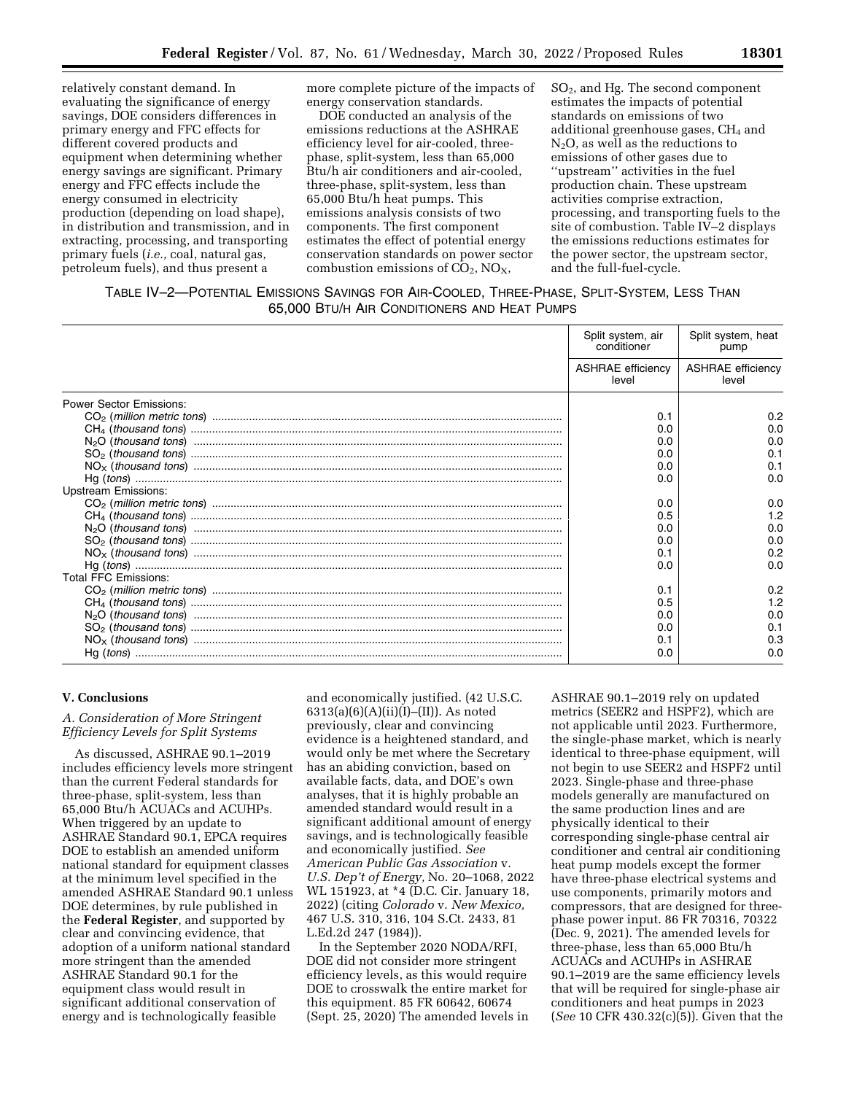relatively constant demand. In evaluating the significance of energy savings, DOE considers differences in primary energy and FFC effects for different covered products and equipment when determining whether energy savings are significant. Primary energy and FFC effects include the energy consumed in electricity production (depending on load shape), in distribution and transmission, and in extracting, processing, and transporting primary fuels (*i.e.,* coal, natural gas, petroleum fuels), and thus present a

more complete picture of the impacts of energy conservation standards.

DOE conducted an analysis of the emissions reductions at the ASHRAE efficiency level for air-cooled, threephase, split-system, less than 65,000 Btu/h air conditioners and air-cooled, three-phase, split-system, less than 65,000 Btu/h heat pumps. This emissions analysis consists of two components. The first component estimates the effect of potential energy conservation standards on power sector combustion emissions of  $CO<sub>2</sub>$ , NO<sub>X</sub>,

SO2, and Hg. The second component estimates the impacts of potential standards on emissions of two additional greenhouse gases, CH4 and  $N<sub>2</sub>O$ , as well as the reductions to emissions of other gases due to ''upstream'' activities in the fuel production chain. These upstream activities comprise extraction, processing, and transporting fuels to the site of combustion. Table IV–2 displays the emissions reductions estimates for the power sector, the upstream sector, and the full-fuel-cycle.

# TABLE IV–2—POTENTIAL EMISSIONS SAVINGS FOR AIR-COOLED, THREE-PHASE, SPLIT-SYSTEM, LESS THAN 65,000 BTU/H AIR CONDITIONERS AND HEAT PUMPS

|                                | Split system, air<br>conditioner  | Split system, heat<br>pump        |
|--------------------------------|-----------------------------------|-----------------------------------|
|                                | <b>ASHRAE</b> efficiency<br>level | <b>ASHRAE</b> efficiency<br>level |
| <b>Power Sector Emissions:</b> |                                   |                                   |
|                                | 0.1                               | 0.2                               |
|                                | 0.0                               | 0.0                               |
|                                | 0.0                               | 0.0                               |
|                                | 0.0                               | 0.1                               |
|                                | 0.0                               | 0.1                               |
|                                | 0.0                               | 0.0                               |
| <b>Upstream Emissions:</b>     |                                   |                                   |
|                                | 0.0                               | 0.0                               |
|                                | 0.5                               | 1.2                               |
|                                | 0.0                               | 0.0                               |
|                                | 0.0                               | 0.0                               |
|                                | 0.1                               | 0.2                               |
|                                | 0.0                               | 0.0                               |
| <b>Total FFC Emissions:</b>    |                                   |                                   |
|                                | 0.1                               | 0.2                               |
|                                | 0.5                               | 1.2                               |
|                                | 0.0                               | 0.0                               |
|                                | 0.0                               | 0.1                               |
|                                | 0.1                               | 0.3                               |
|                                | 0.0                               | 0.0                               |

## **V. Conclusions**

# *A. Consideration of More Stringent Efficiency Levels for Split Systems*

As discussed, ASHRAE 90.1–2019 includes efficiency levels more stringent than the current Federal standards for three-phase, split-system, less than 65,000 Btu/h ACUACs and ACUHPs. When triggered by an update to ASHRAE Standard 90.1, EPCA requires DOE to establish an amended uniform national standard for equipment classes at the minimum level specified in the amended ASHRAE Standard 90.1 unless DOE determines, by rule published in the **Federal Register***,* and supported by clear and convincing evidence, that adoption of a uniform national standard more stringent than the amended ASHRAE Standard 90.1 for the equipment class would result in significant additional conservation of energy and is technologically feasible

and economically justified. (42 U.S.C.  $6313(a)(6)(A)(ii)(I)–(II)).$  As noted previously, clear and convincing evidence is a heightened standard, and would only be met where the Secretary has an abiding conviction, based on available facts, data, and DOE's own analyses, that it is highly probable an amended standard would result in a significant additional amount of energy savings, and is technologically feasible and economically justified. *See American Public Gas Association* v. *U.S. Dep't of Energy,* No. 20–1068, 2022 WL 151923, at \*4 (D.C. Cir. January 18, 2022) (citing *Colorado* v. *New Mexico,*  467 U.S. 310, 316, 104 S.Ct. 2433, 81 L.Ed.2d 247 (1984)).

In the September 2020 NODA/RFI, DOE did not consider more stringent efficiency levels, as this would require DOE to crosswalk the entire market for this equipment. 85 FR 60642, 60674 (Sept. 25, 2020) The amended levels in

ASHRAE 90.1–2019 rely on updated metrics (SEER2 and HSPF2), which are not applicable until 2023. Furthermore, the single-phase market, which is nearly identical to three-phase equipment, will not begin to use SEER2 and HSPF2 until 2023. Single-phase and three-phase models generally are manufactured on the same production lines and are physically identical to their corresponding single-phase central air conditioner and central air conditioning heat pump models except the former have three-phase electrical systems and use components, primarily motors and compressors, that are designed for threephase power input. 86 FR 70316, 70322 (Dec. 9, 2021). The amended levels for three-phase, less than 65,000 Btu/h ACUACs and ACUHPs in ASHRAE 90.1–2019 are the same efficiency levels that will be required for single-phase air conditioners and heat pumps in 2023 (*See* 10 CFR 430.32(c)(5)). Given that the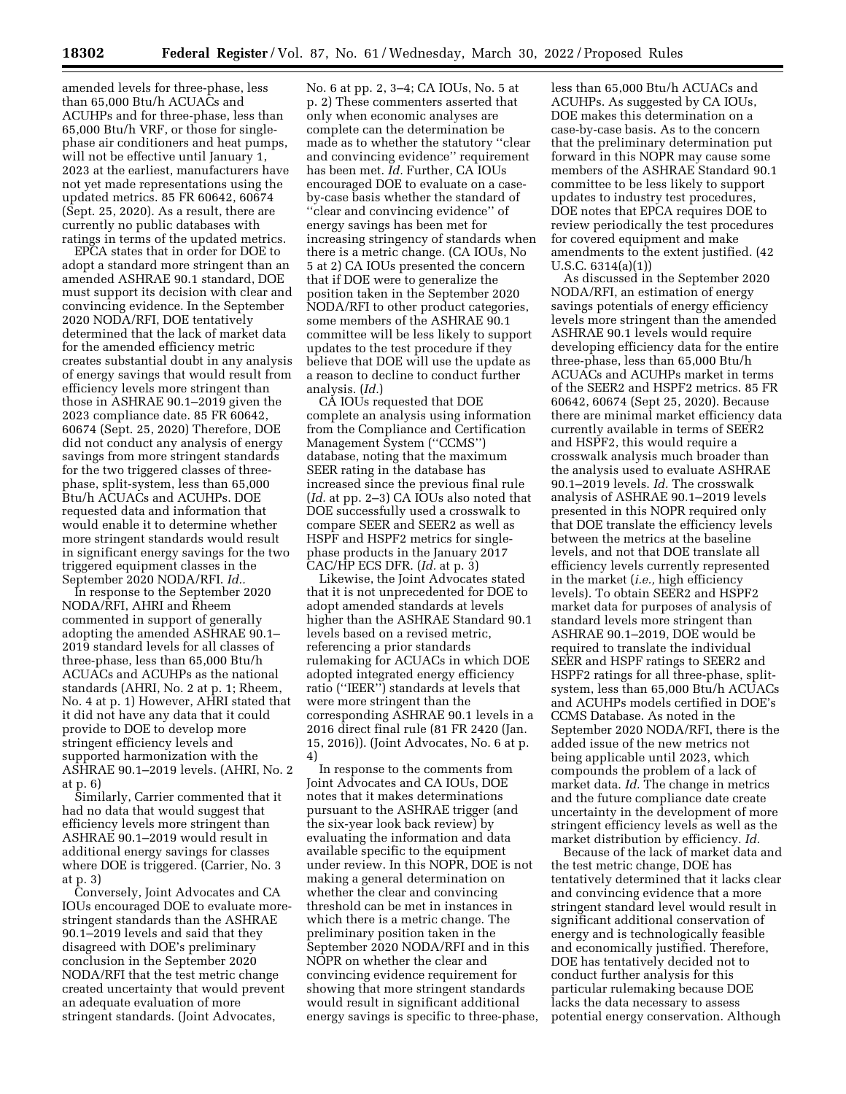amended levels for three-phase, less than 65,000 Btu/h ACUACs and ACUHPs and for three-phase, less than 65,000 Btu/h VRF, or those for singlephase air conditioners and heat pumps, will not be effective until January 1, 2023 at the earliest, manufacturers have not yet made representations using the updated metrics. 85 FR 60642, 60674 (Sept. 25, 2020). As a result, there are currently no public databases with ratings in terms of the updated metrics.

EPCA states that in order for DOE to adopt a standard more stringent than an amended ASHRAE 90.1 standard, DOE must support its decision with clear and convincing evidence. In the September 2020 NODA/RFI, DOE tentatively determined that the lack of market data for the amended efficiency metric creates substantial doubt in any analysis of energy savings that would result from efficiency levels more stringent than those in ASHRAE 90.1–2019 given the 2023 compliance date. 85 FR 60642, 60674 (Sept. 25, 2020) Therefore, DOE did not conduct any analysis of energy savings from more stringent standards for the two triggered classes of threephase, split-system, less than 65,000 Btu/h ACUACs and ACUHPs. DOE requested data and information that would enable it to determine whether more stringent standards would result in significant energy savings for the two triggered equipment classes in the September 2020 NODA/RFI. *Id..* 

In response to the September 2020 NODA/RFI, AHRI and Rheem commented in support of generally adopting the amended ASHRAE 90.1– 2019 standard levels for all classes of three-phase, less than 65,000 Btu/h ACUACs and ACUHPs as the national standards (AHRI, No. 2 at p. 1; Rheem, No. 4 at p. 1) However, AHRI stated that it did not have any data that it could provide to DOE to develop more stringent efficiency levels and supported harmonization with the ASHRAE 90.1–2019 levels. (AHRI, No. 2 at p. 6)

Similarly, Carrier commented that it had no data that would suggest that efficiency levels more stringent than ASHRAE 90.1–2019 would result in additional energy savings for classes where DOE is triggered. (Carrier, No. 3 at p. 3)

Conversely, Joint Advocates and CA IOUs encouraged DOE to evaluate morestringent standards than the ASHRAE 90.1–2019 levels and said that they disagreed with DOE's preliminary conclusion in the September 2020 NODA/RFI that the test metric change created uncertainty that would prevent an adequate evaluation of more stringent standards. (Joint Advocates,

No. 6 at pp. 2, 3–4; CA IOUs, No. 5 at p. 2) These commenters asserted that only when economic analyses are complete can the determination be made as to whether the statutory ''clear and convincing evidence'' requirement has been met. *Id.* Further, CA IOUs encouraged DOE to evaluate on a caseby-case basis whether the standard of ''clear and convincing evidence'' of energy savings has been met for increasing stringency of standards when there is a metric change. (CA IOUs, No 5 at 2) CA IOUs presented the concern that if DOE were to generalize the position taken in the September 2020 NODA/RFI to other product categories, some members of the ASHRAE 90.1 committee will be less likely to support updates to the test procedure if they believe that DOE will use the update as a reason to decline to conduct further analysis. (*Id.*)

CA IOUs requested that DOE complete an analysis using information from the Compliance and Certification Management System (''CCMS'') database, noting that the maximum SEER rating in the database has increased since the previous final rule (*Id.* at pp. 2–3) CA IOUs also noted that DOE successfully used a crosswalk to compare SEER and SEER2 as well as HSPF and HSPF2 metrics for singlephase products in the January 2017 CAC/HP ECS DFR. (*Id.* at p. 3)

Likewise, the Joint Advocates stated that it is not unprecedented for DOE to adopt amended standards at levels higher than the ASHRAE Standard 90.1 levels based on a revised metric, referencing a prior standards rulemaking for ACUACs in which DOE adopted integrated energy efficiency ratio (''IEER'') standards at levels that were more stringent than the corresponding ASHRAE 90.1 levels in a 2016 direct final rule (81 FR 2420 (Jan. 15, 2016)). (Joint Advocates, No. 6 at p. 4)

In response to the comments from Joint Advocates and CA IOUs, DOE notes that it makes determinations pursuant to the ASHRAE trigger (and the six-year look back review) by evaluating the information and data available specific to the equipment under review. In this NOPR, DOE is not making a general determination on whether the clear and convincing threshold can be met in instances in which there is a metric change. The preliminary position taken in the September 2020 NODA/RFI and in this NOPR on whether the clear and convincing evidence requirement for showing that more stringent standards would result in significant additional energy savings is specific to three-phase,

less than 65,000 Btu/h ACUACs and ACUHPs. As suggested by CA IOUs, DOE makes this determination on a case-by-case basis. As to the concern that the preliminary determination put forward in this NOPR may cause some members of the ASHRAE Standard 90.1 committee to be less likely to support updates to industry test procedures, DOE notes that EPCA requires DOE to review periodically the test procedures for covered equipment and make amendments to the extent justified. (42 U.S.C. 6314(a)(1))

As discussed in the September 2020 NODA/RFI, an estimation of energy savings potentials of energy efficiency levels more stringent than the amended ASHRAE 90.1 levels would require developing efficiency data for the entire three-phase, less than 65,000 Btu/h ACUACs and ACUHPs market in terms of the SEER2 and HSPF2 metrics. 85 FR 60642, 60674 (Sept 25, 2020). Because there are minimal market efficiency data currently available in terms of SEER2 and HSPF2, this would require a crosswalk analysis much broader than the analysis used to evaluate ASHRAE 90.1–2019 levels. *Id.* The crosswalk analysis of ASHRAE 90.1–2019 levels presented in this NOPR required only that DOE translate the efficiency levels between the metrics at the baseline levels, and not that DOE translate all efficiency levels currently represented in the market (*i.e.,* high efficiency levels). To obtain SEER2 and HSPF2 market data for purposes of analysis of standard levels more stringent than ASHRAE 90.1–2019, DOE would be required to translate the individual SEER and HSPF ratings to SEER2 and HSPF2 ratings for all three-phase, splitsystem, less than 65,000 Btu/h ACUACs and ACUHPs models certified in DOE's CCMS Database. As noted in the September 2020 NODA/RFI, there is the added issue of the new metrics not being applicable until 2023, which compounds the problem of a lack of market data. *Id.* The change in metrics and the future compliance date create uncertainty in the development of more stringent efficiency levels as well as the market distribution by efficiency. *Id.* 

Because of the lack of market data and the test metric change, DOE has tentatively determined that it lacks clear and convincing evidence that a more stringent standard level would result in significant additional conservation of energy and is technologically feasible and economically justified. Therefore, DOE has tentatively decided not to conduct further analysis for this particular rulemaking because DOE lacks the data necessary to assess potential energy conservation. Although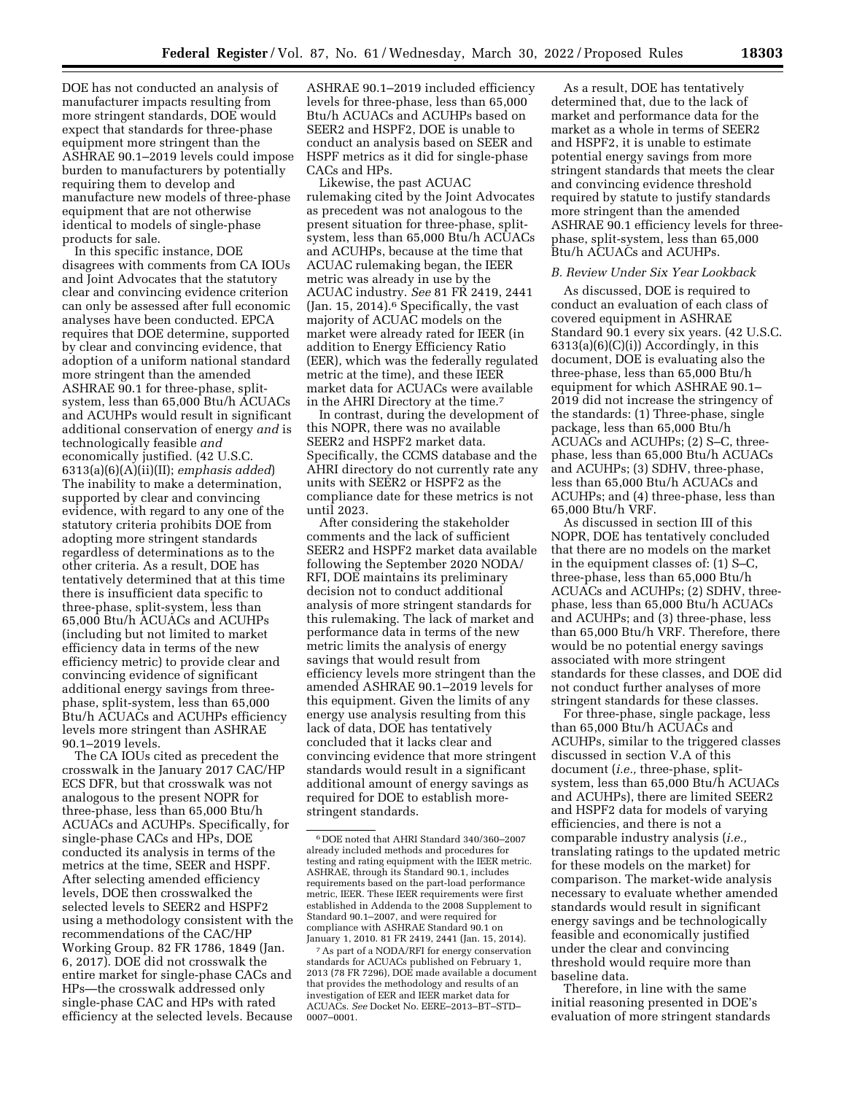DOE has not conducted an analysis of manufacturer impacts resulting from more stringent standards, DOE would expect that standards for three-phase equipment more stringent than the ASHRAE 90.1–2019 levels could impose burden to manufacturers by potentially requiring them to develop and manufacture new models of three-phase equipment that are not otherwise identical to models of single-phase products for sale.

In this specific instance, DOE disagrees with comments from CA IOUs and Joint Advocates that the statutory clear and convincing evidence criterion can only be assessed after full economic analyses have been conducted. EPCA requires that DOE determine, supported by clear and convincing evidence, that adoption of a uniform national standard more stringent than the amended ASHRAE 90.1 for three-phase, splitsystem, less than 65,000 Btu/h ACUACs and ACUHPs would result in significant additional conservation of energy *and* is technologically feasible *and*  economically justified. (42 U.S.C. 6313(a)(6)(A)(ii)(II); *emphasis added*) The inability to make a determination, supported by clear and convincing evidence, with regard to any one of the statutory criteria prohibits DOE from adopting more stringent standards regardless of determinations as to the other criteria. As a result, DOE has tentatively determined that at this time there is insufficient data specific to three-phase, split-system, less than 65,000 Btu/h ACUACs and ACUHPs (including but not limited to market efficiency data in terms of the new efficiency metric) to provide clear and convincing evidence of significant additional energy savings from threephase, split-system, less than 65,000 Btu/h ACUACs and ACUHPs efficiency levels more stringent than ASHRAE 90.1–2019 levels.

The CA IOUs cited as precedent the crosswalk in the January 2017 CAC/HP ECS DFR, but that crosswalk was not analogous to the present NOPR for three-phase, less than 65,000 Btu/h ACUACs and ACUHPs. Specifically, for single-phase CACs and HPs, DOE conducted its analysis in terms of the metrics at the time, SEER and HSPF. After selecting amended efficiency levels, DOE then crosswalked the selected levels to SEER2 and HSPF2 using a methodology consistent with the recommendations of the CAC/HP Working Group. 82 FR 1786, 1849 (Jan. 6, 2017). DOE did not crosswalk the entire market for single-phase CACs and HPs—the crosswalk addressed only single-phase CAC and HPs with rated efficiency at the selected levels. Because

ASHRAE 90.1–2019 included efficiency levels for three-phase, less than 65,000 Btu/h ACUACs and ACUHPs based on SEER2 and HSPF2, DOE is unable to conduct an analysis based on SEER and HSPF metrics as it did for single-phase CACs and HPs.

Likewise, the past ACUAC rulemaking cited by the Joint Advocates as precedent was not analogous to the present situation for three-phase, splitsystem, less than 65,000 Btu/h ACUACs and ACUHPs, because at the time that ACUAC rulemaking began, the IEER metric was already in use by the ACUAC industry. *See* 81 FR 2419, 2441 (Jan. 15, 2014).6 Specifically, the vast majority of ACUAC models on the market were already rated for IEER (in addition to Energy Efficiency Ratio (EER), which was the federally regulated metric at the time), and these IEER market data for ACUACs were available in the AHRI Directory at the time.7

In contrast, during the development of this NOPR, there was no available SEER2 and HSPF2 market data. Specifically, the CCMS database and the AHRI directory do not currently rate any units with SEER2 or HSPF2 as the compliance date for these metrics is not until 2023.

After considering the stakeholder comments and the lack of sufficient SEER2 and HSPF2 market data available following the September 2020 NODA/ RFI, DOE maintains its preliminary decision not to conduct additional analysis of more stringent standards for this rulemaking. The lack of market and performance data in terms of the new metric limits the analysis of energy savings that would result from efficiency levels more stringent than the amended ASHRAE 90.1–2019 levels for this equipment. Given the limits of any energy use analysis resulting from this lack of data, DOE has tentatively concluded that it lacks clear and convincing evidence that more stringent standards would result in a significant additional amount of energy savings as required for DOE to establish morestringent standards.

As a result, DOE has tentatively determined that, due to the lack of market and performance data for the market as a whole in terms of SEER2 and HSPF2, it is unable to estimate potential energy savings from more stringent standards that meets the clear and convincing evidence threshold required by statute to justify standards more stringent than the amended ASHRAE 90.1 efficiency levels for threephase, split-system, less than 65,000 Btu/h ACUACs and ACUHPs.

## *B. Review Under Six Year Lookback*

As discussed, DOE is required to conduct an evaluation of each class of covered equipment in ASHRAE Standard 90.1 every six years. (42 U.S.C.  $6313(a)(6)(C)(i)$ ) Accordingly, in this document, DOE is evaluating also the three-phase, less than 65,000 Btu/h equipment for which ASHRAE 90.1– 2019 did not increase the stringency of the standards: (1) Three-phase, single package, less than 65,000 Btu/h ACUACs and ACUHPs; (2) S–C, threephase, less than 65,000 Btu/h ACUACs and ACUHPs; (3) SDHV, three-phase, less than 65,000 Btu/h ACUACs and ACUHPs; and (4) three-phase, less than 65,000 Btu/h VRF.

As discussed in section III of this NOPR, DOE has tentatively concluded that there are no models on the market in the equipment classes of: (1) S–C, three-phase, less than 65,000 Btu/h ACUACs and ACUHPs; (2) SDHV, threephase, less than 65,000 Btu/h ACUACs and ACUHPs; and (3) three-phase, less than 65,000 Btu/h VRF. Therefore, there would be no potential energy savings associated with more stringent standards for these classes, and DOE did not conduct further analyses of more stringent standards for these classes.

For three-phase, single package, less than 65,000 Btu/h ACUACs and ACUHPs, similar to the triggered classes discussed in section V.A of this document (*i.e.,* three-phase, splitsystem, less than 65,000 Btu/h ACUACs and ACUHPs), there are limited SEER2 and HSPF2 data for models of varying efficiencies, and there is not a comparable industry analysis (*i.e.,*  translating ratings to the updated metric for these models on the market) for comparison. The market-wide analysis necessary to evaluate whether amended standards would result in significant energy savings and be technologically feasible and economically justified under the clear and convincing threshold would require more than baseline data.

Therefore, in line with the same initial reasoning presented in DOE's evaluation of more stringent standards

<sup>6</sup> DOE noted that AHRI Standard 340/360–2007 already included methods and procedures for testing and rating equipment with the IEER metric. ASHRAE, through its Standard 90.1, includes requirements based on the part-load performance metric, IEER. These IEER requirements were first established in Addenda to the 2008 Supplement to Standard 90.1–2007, and were required for compliance with ASHRAE Standard 90.1 on January 1, 2010. 81 FR 2419, 2441 (Jan. 15, 2014).

<sup>7</sup>As part of a NODA/RFI for energy conservation standards for ACUACs published on February 1, 2013 (78 FR 7296), DOE made available a document that provides the methodology and results of an investigation of EER and IEER market data for ACUACs. *See* Docket No. EERE–2013–BT–STD– 0007–0001.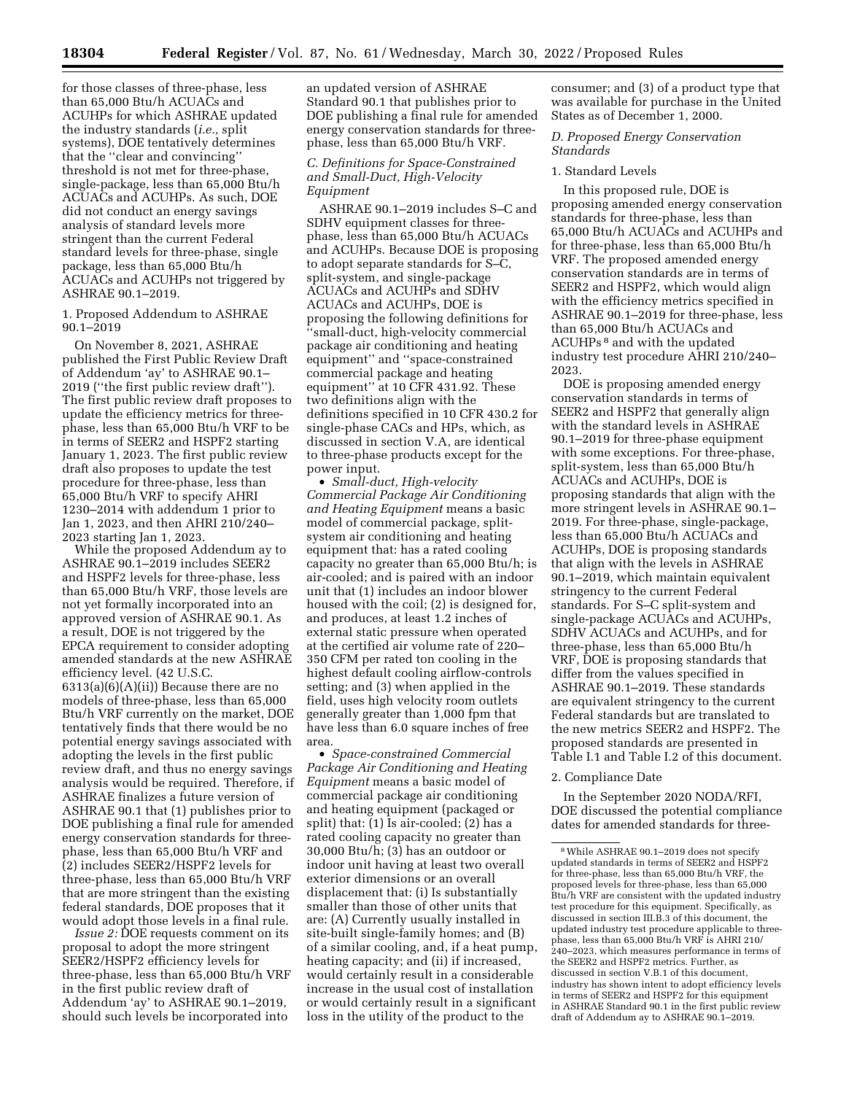for those classes of three-phase, less than 65,000 Btu/h ACUACs and ACUHPs for which ASHRAE updated the industry standards (*i.e.,* split systems), DOE tentatively determines that the ''clear and convincing'' threshold is not met for three-phase, single-package, less than 65,000 Btu/h ACUACs and ACUHPs. As such, DOE did not conduct an energy savings analysis of standard levels more stringent than the current Federal standard levels for three-phase, single package, less than 65,000 Btu/h ACUACs and ACUHPs not triggered by ASHRAE 90.1–2019.

1. Proposed Addendum to ASHRAE 90.1–2019

On November 8, 2021, ASHRAE published the First Public Review Draft of Addendum 'ay' to ASHRAE 90.1– 2019 (''the first public review draft''). The first public review draft proposes to update the efficiency metrics for threephase, less than 65,000 Btu/h VRF to be in terms of SEER2 and HSPF2 starting January 1, 2023. The first public review draft also proposes to update the test procedure for three-phase, less than 65,000 Btu/h VRF to specify AHRI 1230–2014 with addendum 1 prior to Jan 1, 2023, and then AHRI 210/240– 2023 starting Jan 1, 2023.

While the proposed Addendum ay to ASHRAE 90.1–2019 includes SEER2 and HSPF2 levels for three-phase, less than 65,000 Btu/h VRF, those levels are not yet formally incorporated into an approved version of ASHRAE 90.1. As a result, DOE is not triggered by the EPCA requirement to consider adopting amended standards at the new ASHRAE efficiency level. (42 U.S.C. 6313(a)(6)(A)(ii)) Because there are no models of three-phase, less than 65,000 Btu/h VRF currently on the market, DOE tentatively finds that there would be no potential energy savings associated with adopting the levels in the first public review draft, and thus no energy savings analysis would be required. Therefore, if ASHRAE finalizes a future version of ASHRAE 90.1 that (1) publishes prior to DOE publishing a final rule for amended energy conservation standards for threephase, less than 65,000 Btu/h VRF and (2) includes SEER2/HSPF2 levels for three-phase, less than 65,000 Btu/h VRF that are more stringent than the existing federal standards, DOE proposes that it would adopt those levels in a final rule.

*Issue 2:* DOE requests comment on its proposal to adopt the more stringent SEER2/HSPF2 efficiency levels for three-phase, less than 65,000 Btu/h VRF in the first public review draft of Addendum 'ay' to ASHRAE 90.1–2019, should such levels be incorporated into

an updated version of ASHRAE Standard 90.1 that publishes prior to DOE publishing a final rule for amended energy conservation standards for threephase, less than 65,000 Btu/h VRF.

## *C. Definitions for Space-Constrained and Small-Duct, High-Velocity Equipment*

ASHRAE 90.1–2019 includes S–C and SDHV equipment classes for threephase, less than 65,000 Btu/h ACUACs and ACUHPs. Because DOE is proposing to adopt separate standards for S–C, split-system, and single-package ACUACs and ACUHPs and SDHV ACUACs and ACUHPs, DOE is proposing the following definitions for ''small-duct, high-velocity commercial package air conditioning and heating equipment'' and ''space-constrained commercial package and heating equipment'' at 10 CFR 431.92. These two definitions align with the definitions specified in 10 CFR 430.2 for single-phase CACs and HPs, which, as discussed in section V.A, are identical to three-phase products except for the power input.

• *Small-duct, High-velocity Commercial Package Air Conditioning and Heating Equipment* means a basic model of commercial package, splitsystem air conditioning and heating equipment that: has a rated cooling capacity no greater than 65,000 Btu/h; is air-cooled; and is paired with an indoor unit that (1) includes an indoor blower housed with the coil; (2) is designed for, and produces, at least 1.2 inches of external static pressure when operated at the certified air volume rate of 220– 350 CFM per rated ton cooling in the highest default cooling airflow-controls setting; and (3) when applied in the field, uses high velocity room outlets generally greater than 1,000 fpm that have less than 6.0 square inches of free area.

• *Space-constrained Commercial Package Air Conditioning and Heating Equipment* means a basic model of commercial package air conditioning and heating equipment (packaged or split) that: (1) Is air-cooled; (2) has a rated cooling capacity no greater than 30,000 Btu/h; (3) has an outdoor or indoor unit having at least two overall exterior dimensions or an overall displacement that: (i) Is substantially smaller than those of other units that are: (A) Currently usually installed in site-built single-family homes; and (B) of a similar cooling, and, if a heat pump, heating capacity; and (ii) if increased, would certainly result in a considerable increase in the usual cost of installation or would certainly result in a significant loss in the utility of the product to the

consumer; and (3) of a product type that was available for purchase in the United States as of December 1, 2000.

#### *D. Proposed Energy Conservation Standards*

#### 1. Standard Levels

In this proposed rule, DOE is proposing amended energy conservation standards for three-phase, less than 65,000 Btu/h ACUACs and ACUHPs and for three-phase, less than 65,000 Btu/h VRF. The proposed amended energy conservation standards are in terms of SEER2 and HSPF2, which would align with the efficiency metrics specified in ASHRAE 90.1–2019 for three-phase, less than 65,000 Btu/h ACUACs and ACUHPs 8 and with the updated industry test procedure AHRI 210/240– 2023.

DOE is proposing amended energy conservation standards in terms of SEER2 and HSPF2 that generally align with the standard levels in ASHRAE 90.1–2019 for three-phase equipment with some exceptions. For three-phase, split-system, less than 65,000 Btu/h ACUACs and ACUHPs, DOE is proposing standards that align with the more stringent levels in ASHRAE 90.1– 2019. For three-phase, single-package, less than 65,000 Btu/h ACUACs and ACUHPs, DOE is proposing standards that align with the levels in ASHRAE 90.1–2019, which maintain equivalent stringency to the current Federal standards. For S–C split-system and single-package ACUACs and ACUHPs, SDHV ACUACs and ACUHPs, and for three-phase, less than 65,000 Btu/h VRF, DOE is proposing standards that differ from the values specified in ASHRAE 90.1–2019. These standards are equivalent stringency to the current Federal standards but are translated to the new metrics SEER2 and HSPF2. The proposed standards are presented in Table I.1 and Table I.2 of this document.

#### 2. Compliance Date

In the September 2020 NODA/RFI, DOE discussed the potential compliance dates for amended standards for three-

<sup>8</sup>While ASHRAE 90.1–2019 does not specify updated standards in terms of SEER2 and HSPF2 for three-phase, less than 65,000 Btu/h VRF, the proposed levels for three-phase, less than 65,000 Btu/h VRF are consistent with the updated industry test procedure for this equipment. Specifically, as discussed in section III.B.3 of this document, the updated industry test procedure applicable to threephase, less than 65,000 Btu/h VRF is AHRI 210/ 240–2023, which measures performance in terms of the SEER2 and HSPF2 metrics. Further, as discussed in section V.B.1 of this document, industry has shown intent to adopt efficiency levels in terms of SEER2 and HSPF2 for this equipment in ASHRAE Standard 90.1 in the first public review draft of Addendum ay to ASHRAE 90.1–2019.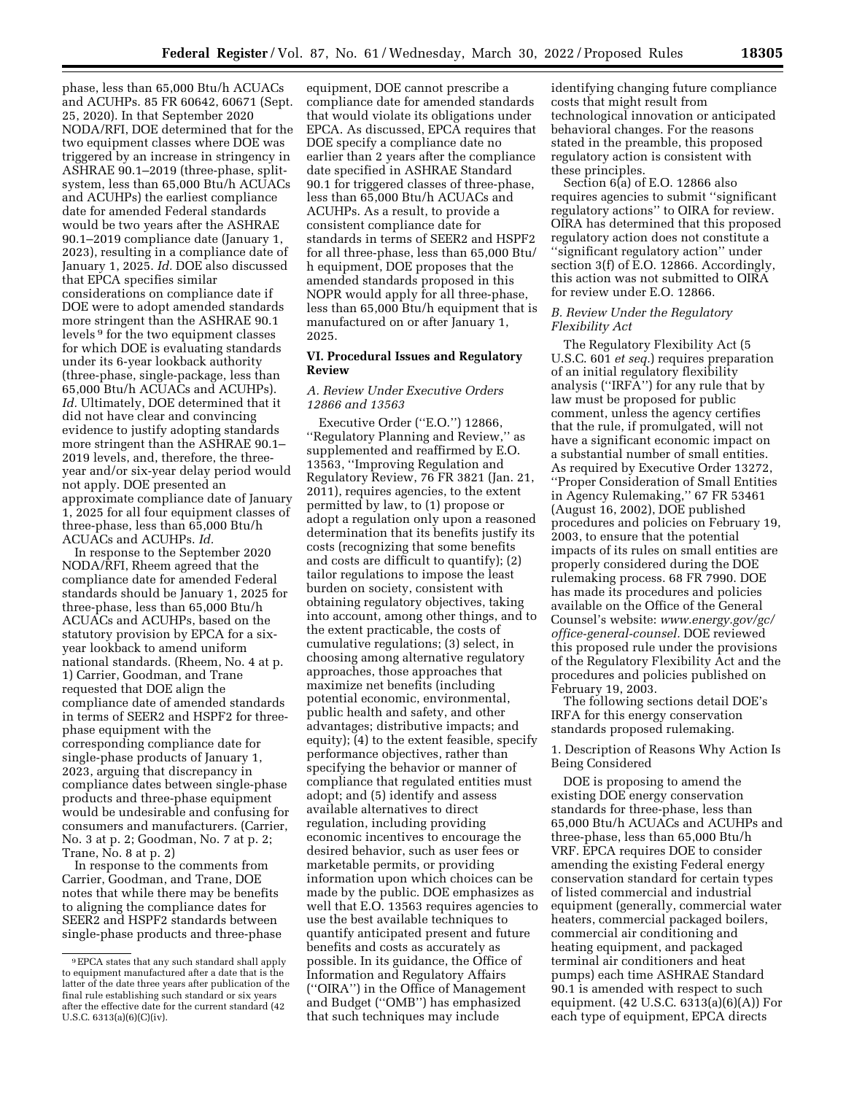phase, less than 65,000 Btu/h ACUACs and ACUHPs. 85 FR 60642, 60671 (Sept. 25, 2020). In that September 2020 NODA/RFI, DOE determined that for the two equipment classes where DOE was triggered by an increase in stringency in ASHRAE 90.1–2019 (three-phase, splitsystem, less than 65,000 Btu/h ACUACs and ACUHPs) the earliest compliance date for amended Federal standards would be two years after the ASHRAE 90.1–2019 compliance date (January 1, 2023), resulting in a compliance date of January 1, 2025. *Id.* DOE also discussed that EPCA specifies similar considerations on compliance date if DOE were to adopt amended standards more stringent than the ASHRAE 90.1 levels 9 for the two equipment classes for which DOE is evaluating standards under its 6-year lookback authority (three-phase, single-package, less than 65,000 Btu/h ACUACs and ACUHPs). *Id.* Ultimately, DOE determined that it did not have clear and convincing evidence to justify adopting standards more stringent than the ASHRAE 90.1– 2019 levels, and, therefore, the threeyear and/or six-year delay period would not apply. DOE presented an approximate compliance date of January 1, 2025 for all four equipment classes of three-phase, less than 65,000 Btu/h ACUACs and ACUHPs. *Id.* 

In response to the September 2020 NODA/RFI, Rheem agreed that the compliance date for amended Federal standards should be January 1, 2025 for three-phase, less than 65,000 Btu/h ACUACs and ACUHPs, based on the statutory provision by EPCA for a sixyear lookback to amend uniform national standards. (Rheem, No. 4 at p. 1) Carrier, Goodman, and Trane requested that DOE align the compliance date of amended standards in terms of SEER2 and HSPF2 for threephase equipment with the corresponding compliance date for single-phase products of January 1, 2023, arguing that discrepancy in compliance dates between single-phase products and three-phase equipment would be undesirable and confusing for consumers and manufacturers. (Carrier, No. 3 at p. 2; Goodman, No. 7 at p. 2; Trane, No. 8 at p. 2)

In response to the comments from Carrier, Goodman, and Trane, DOE notes that while there may be benefits to aligning the compliance dates for SEER2 and HSPF2 standards between single-phase products and three-phase

equipment, DOE cannot prescribe a compliance date for amended standards that would violate its obligations under EPCA. As discussed, EPCA requires that DOE specify a compliance date no earlier than 2 years after the compliance date specified in ASHRAE Standard 90.1 for triggered classes of three-phase, less than 65,000 Btu/h ACUACs and ACUHPs. As a result, to provide a consistent compliance date for standards in terms of SEER2 and HSPF2 for all three-phase, less than 65,000 Btu/ h equipment, DOE proposes that the amended standards proposed in this NOPR would apply for all three-phase, less than 65,000 Btu/h equipment that is manufactured on or after January 1, 2025.

# **VI. Procedural Issues and Regulatory Review**

# *A. Review Under Executive Orders 12866 and 13563*

Executive Order (''E.O.'') 12866, ''Regulatory Planning and Review,'' as supplemented and reaffirmed by E.O. 13563, ''Improving Regulation and Regulatory Review, 76 FR 3821 (Jan. 21, 2011), requires agencies, to the extent permitted by law, to (1) propose or adopt a regulation only upon a reasoned determination that its benefits justify its costs (recognizing that some benefits and costs are difficult to quantify); (2) tailor regulations to impose the least burden on society, consistent with obtaining regulatory objectives, taking into account, among other things, and to the extent practicable, the costs of cumulative regulations; (3) select, in choosing among alternative regulatory approaches, those approaches that maximize net benefits (including potential economic, environmental, public health and safety, and other advantages; distributive impacts; and equity);  $\overline{4}$  to the extent feasible, specify performance objectives, rather than specifying the behavior or manner of compliance that regulated entities must adopt; and (5) identify and assess available alternatives to direct regulation, including providing economic incentives to encourage the desired behavior, such as user fees or marketable permits, or providing information upon which choices can be made by the public. DOE emphasizes as well that E.O. 13563 requires agencies to use the best available techniques to quantify anticipated present and future benefits and costs as accurately as possible. In its guidance, the Office of Information and Regulatory Affairs (''OIRA'') in the Office of Management and Budget (''OMB'') has emphasized that such techniques may include

identifying changing future compliance costs that might result from technological innovation or anticipated behavioral changes. For the reasons stated in the preamble, this proposed regulatory action is consistent with these principles.

Section 6(a) of E.O. 12866 also requires agencies to submit ''significant regulatory actions'' to OIRA for review. OIRA has determined that this proposed regulatory action does not constitute a ''significant regulatory action'' under section 3(f) of E.O. 12866. Accordingly, this action was not submitted to OIRA for review under E.O. 12866.

## *B. Review Under the Regulatory Flexibility Act*

The Regulatory Flexibility Act (5 U.S.C. 601 *et seq.*) requires preparation of an initial regulatory flexibility analysis (''IRFA'') for any rule that by law must be proposed for public comment, unless the agency certifies that the rule, if promulgated, will not have a significant economic impact on a substantial number of small entities. As required by Executive Order 13272, ''Proper Consideration of Small Entities in Agency Rulemaking,'' 67 FR 53461 (August 16, 2002), DOE published procedures and policies on February 19, 2003, to ensure that the potential impacts of its rules on small entities are properly considered during the DOE rulemaking process. 68 FR 7990. DOE has made its procedures and policies available on the Office of the General Counsel's website: *[www.energy.gov/gc/](http://www.energy.gov/gc/office-general-counsel)  [office-general-counsel.](http://www.energy.gov/gc/office-general-counsel)* DOE reviewed this proposed rule under the provisions of the Regulatory Flexibility Act and the procedures and policies published on February 19, 2003.

The following sections detail DOE's IRFA for this energy conservation standards proposed rulemaking.

1. Description of Reasons Why Action Is Being Considered

DOE is proposing to amend the existing DOE energy conservation standards for three-phase, less than 65,000 Btu/h ACUACs and ACUHPs and three-phase, less than 65,000 Btu/h VRF. EPCA requires DOE to consider amending the existing Federal energy conservation standard for certain types of listed commercial and industrial equipment (generally, commercial water heaters, commercial packaged boilers, commercial air conditioning and heating equipment, and packaged terminal air conditioners and heat pumps) each time ASHRAE Standard 90.1 is amended with respect to such equipment. (42 U.S.C. 6313(a)(6)(A)) For each type of equipment, EPCA directs

<sup>9</sup>EPCA states that any such standard shall apply to equipment manufactured after a date that is the latter of the date three years after publication of the final rule establishing such standard or six years after the effective date for the current standard (42 U.S.C. 6313(a)(6)(C)(iv).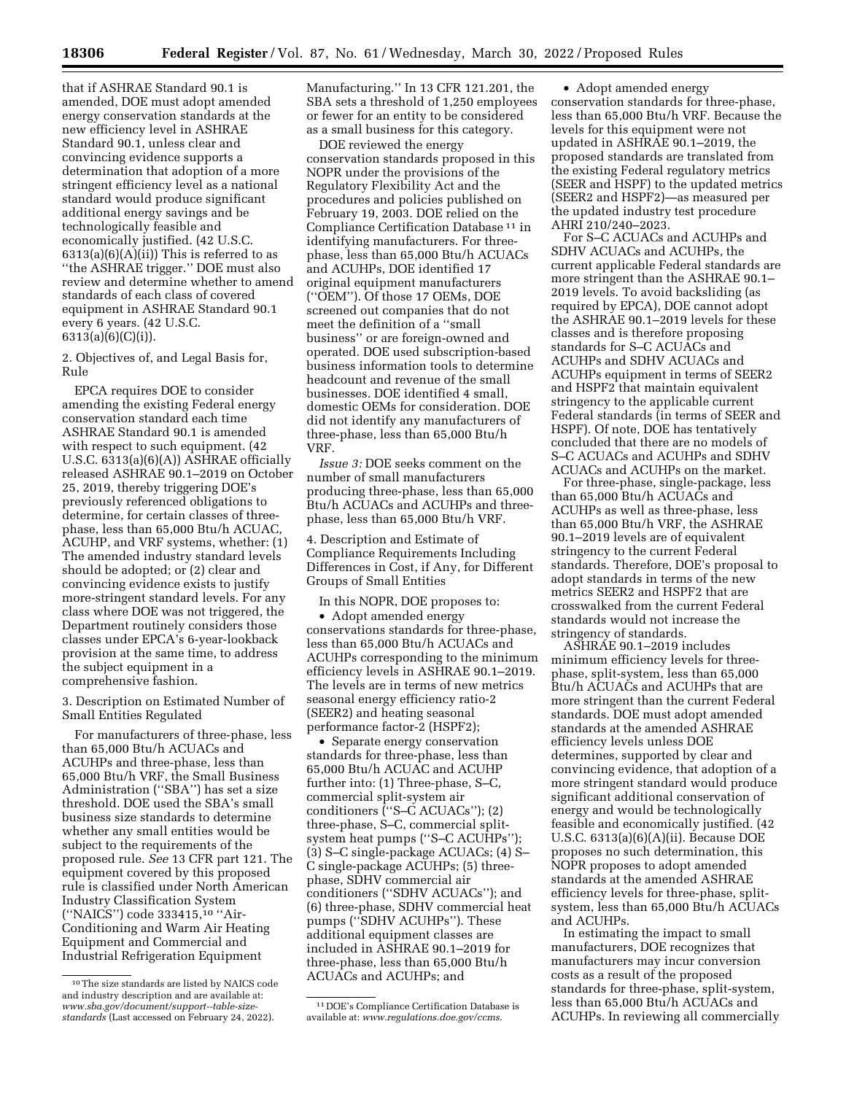that if ASHRAE Standard 90.1 is amended, DOE must adopt amended energy conservation standards at the new efficiency level in ASHRAE Standard 90.1, unless clear and convincing evidence supports a determination that adoption of a more stringent efficiency level as a national standard would produce significant additional energy savings and be technologically feasible and economically justified. (42 U.S.C.  $6313(a)(6)(A)(ii)$  This is referred to as ''the ASHRAE trigger.'' DOE must also review and determine whether to amend standards of each class of covered equipment in ASHRAE Standard 90.1 every 6 years. (42 U.S.C.  $6313(a)(6)(C)(i)$ ).

2. Objectives of, and Legal Basis for, Rule

EPCA requires DOE to consider amending the existing Federal energy conservation standard each time ASHRAE Standard 90.1 is amended with respect to such equipment. (42 U.S.C. 6313(a)(6)(A)) ASHRAE officially released ASHRAE 90.1–2019 on October 25, 2019, thereby triggering DOE's previously referenced obligations to determine, for certain classes of threephase, less than 65,000 Btu/h ACUAC, ACUHP, and VRF systems, whether: (1) The amended industry standard levels should be adopted; or (2) clear and convincing evidence exists to justify more-stringent standard levels. For any class where DOE was not triggered, the Department routinely considers those classes under EPCA's 6-year-lookback provision at the same time, to address the subject equipment in a comprehensive fashion.

3. Description on Estimated Number of Small Entities Regulated

For manufacturers of three-phase, less than 65,000 Btu/h ACUACs and ACUHPs and three-phase, less than 65,000 Btu/h VRF, the Small Business Administration (''SBA'') has set a size threshold. DOE used the SBA's small business size standards to determine whether any small entities would be subject to the requirements of the proposed rule. *See* 13 CFR part 121. The equipment covered by this proposed rule is classified under North American Industry Classification System (''NAICS'') code 333415,10 ''Air-Conditioning and Warm Air Heating Equipment and Commercial and Industrial Refrigeration Equipment

Manufacturing.'' In 13 CFR 121.201, the SBA sets a threshold of 1,250 employees or fewer for an entity to be considered as a small business for this category.

DOE reviewed the energy conservation standards proposed in this NOPR under the provisions of the Regulatory Flexibility Act and the procedures and policies published on February 19, 2003. DOE relied on the Compliance Certification Database 11 in identifying manufacturers. For threephase, less than 65,000 Btu/h ACUACs and ACUHPs, DOE identified 17 original equipment manufacturers (''OEM''). Of those 17 OEMs, DOE screened out companies that do not meet the definition of a ''small business'' or are foreign-owned and operated. DOE used subscription-based business information tools to determine headcount and revenue of the small businesses. DOE identified 4 small, domestic OEMs for consideration. DOE did not identify any manufacturers of three-phase, less than 65,000 Btu/h VRF.

*Issue 3:* DOE seeks comment on the number of small manufacturers producing three-phase, less than 65,000 Btu/h ACUACs and ACUHPs and threephase, less than 65,000 Btu/h VRF.

4. Description and Estimate of Compliance Requirements Including Differences in Cost, if Any, for Different Groups of Small Entities

In this NOPR, DOE proposes to:

• Adopt amended energy conservations standards for three-phase, less than 65,000 Btu/h ACUACs and ACUHPs corresponding to the minimum efficiency levels in ASHRAE 90.1–2019. The levels are in terms of new metrics seasonal energy efficiency ratio-2 (SEER2) and heating seasonal performance factor-2 (HSPF2);

• Separate energy conservation standards for three-phase, less than 65,000 Btu/h ACUAC and ACUHP further into: (1) Three-phase, S–C, commercial split-system air conditioners (''S–C ACUACs''); (2) three-phase, S–C, commercial splitsystem heat pumps ("S-C ACUHPs"); (3) S–C single-package ACUACs; (4) S– C single-package ACUHPs; (5) threephase, SDHV commercial air conditioners (''SDHV ACUACs''); and (6) three-phase, SDHV commercial heat pumps (''SDHV ACUHPs''). These additional equipment classes are included in ASHRAE 90.1–2019 for three-phase, less than 65,000 Btu/h ACUACs and ACUHPs; and

11 DOE's Compliance Certification Database is available at: *[www.regulations.doe.gov/ccms](http://www.regulations.doe.gov/ccms)*.

• Adopt amended energy conservation standards for three-phase, less than 65,000 Btu/h VRF. Because the levels for this equipment were not updated in ASHRAE 90.1–2019, the proposed standards are translated from the existing Federal regulatory metrics (SEER and HSPF) to the updated metrics (SEER2 and HSPF2)—as measured per the updated industry test procedure AHRI 210/240–2023.

For S–C ACUACs and ACUHPs and SDHV ACUACs and ACUHPs, the current applicable Federal standards are more stringent than the ASHRAE 90.1– 2019 levels. To avoid backsliding (as required by EPCA), DOE cannot adopt the ASHRAE 90.1–2019 levels for these classes and is therefore proposing standards for S–C ACUACs and ACUHPs and SDHV ACUACs and ACUHPs equipment in terms of SEER2 and HSPF2 that maintain equivalent stringency to the applicable current Federal standards (in terms of SEER and HSPF). Of note, DOE has tentatively concluded that there are no models of S–C ACUACs and ACUHPs and SDHV ACUACs and ACUHPs on the market.

For three-phase, single-package, less than 65,000 Btu/h ACUACs and ACUHPs as well as three-phase, less than 65,000 Btu/h VRF, the ASHRAE 90.1–2019 levels are of equivalent stringency to the current Federal standards. Therefore, DOE's proposal to adopt standards in terms of the new metrics SEER2 and HSPF2 that are crosswalked from the current Federal standards would not increase the stringency of standards.

ASHRAE 90.1–2019 includes minimum efficiency levels for threephase, split-system, less than 65,000 Btu/h ACUACs and ACUHPs that are more stringent than the current Federal standards. DOE must adopt amended standards at the amended ASHRAE efficiency levels unless DOE determines, supported by clear and convincing evidence, that adoption of a more stringent standard would produce significant additional conservation of energy and would be technologically feasible and economically justified. (42 U.S.C. 6313(a)(6)(A)(ii). Because DOE proposes no such determination, this NOPR proposes to adopt amended standards at the amended ASHRAE efficiency levels for three-phase, splitsystem, less than 65,000 Btu/h ACUACs and ACUHPs.

In estimating the impact to small manufacturers, DOE recognizes that manufacturers may incur conversion costs as a result of the proposed standards for three-phase, split-system, less than 65,000 Btu/h ACUACs and ACUHPs. In reviewing all commercially

<sup>10</sup>The size standards are listed by NAICS code and industry description and are available at: *[www.sba.gov/document/support--table-size](https://www.sba.gov/document/support--table-size-standards)[standards](https://www.sba.gov/document/support--table-size-standards)* (Last accessed on February 24, 2022).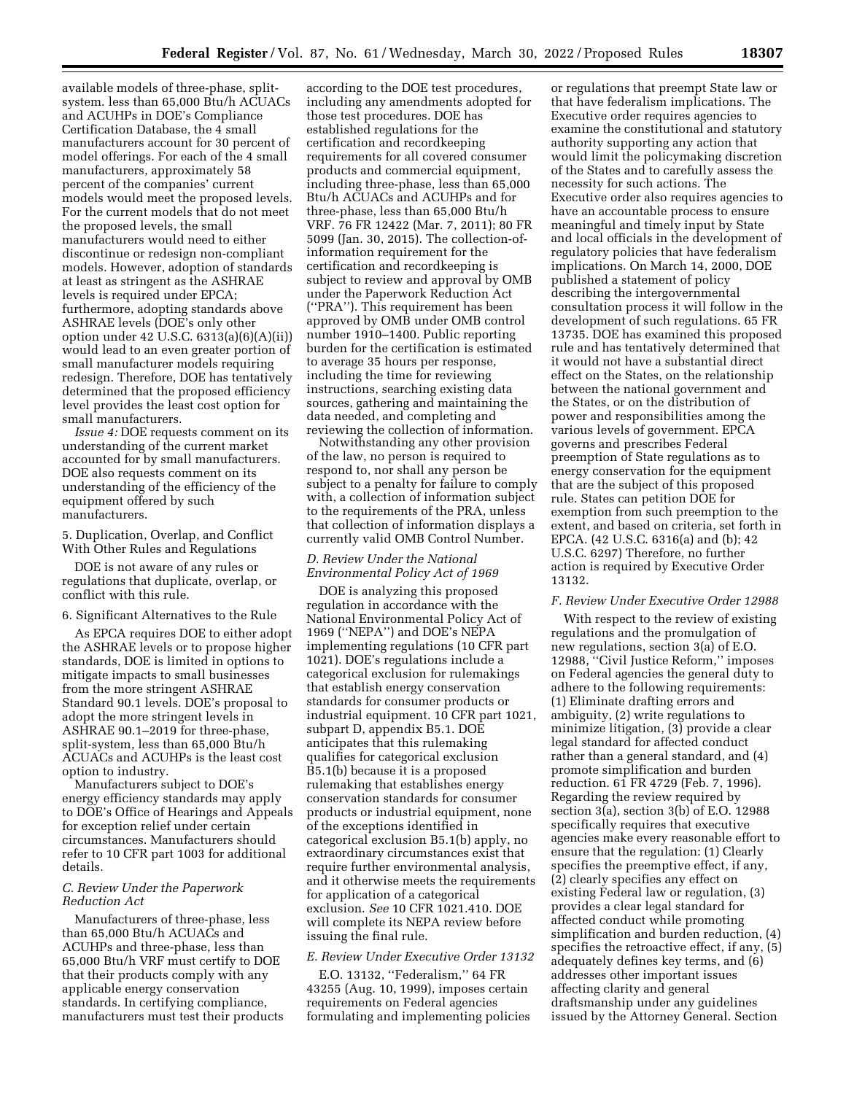available models of three-phase, splitsystem. less than 65,000 Btu/h ACUACs and ACUHPs in DOE's Compliance Certification Database, the 4 small manufacturers account for 30 percent of model offerings. For each of the 4 small manufacturers, approximately 58 percent of the companies' current models would meet the proposed levels. For the current models that do not meet the proposed levels, the small manufacturers would need to either discontinue or redesign non-compliant models. However, adoption of standards at least as stringent as the ASHRAE levels is required under EPCA; furthermore, adopting standards above ASHRAE levels (DOE's only other option under 42 U.S.C. 6313(a)(6)(A)(ii)) would lead to an even greater portion of small manufacturer models requiring redesign. Therefore, DOE has tentatively determined that the proposed efficiency level provides the least cost option for small manufacturers.

*Issue 4:* DOE requests comment on its understanding of the current market accounted for by small manufacturers. DOE also requests comment on its understanding of the efficiency of the equipment offered by such manufacturers.

## 5. Duplication, Overlap, and Conflict With Other Rules and Regulations

DOE is not aware of any rules or regulations that duplicate, overlap, or conflict with this rule.

## 6. Significant Alternatives to the Rule

As EPCA requires DOE to either adopt the ASHRAE levels or to propose higher standards, DOE is limited in options to mitigate impacts to small businesses from the more stringent ASHRAE Standard 90.1 levels. DOE's proposal to adopt the more stringent levels in ASHRAE 90.1–2019 for three-phase, split-system, less than 65,000 Btu/h ACUACs and ACUHPs is the least cost option to industry.

Manufacturers subject to DOE's energy efficiency standards may apply to DOE's Office of Hearings and Appeals for exception relief under certain circumstances. Manufacturers should refer to 10 CFR part 1003 for additional details.

#### *C. Review Under the Paperwork Reduction Act*

Manufacturers of three-phase, less than 65,000 Btu/h ACUACs and ACUHPs and three-phase, less than 65,000 Btu/h VRF must certify to DOE that their products comply with any applicable energy conservation standards. In certifying compliance, manufacturers must test their products

according to the DOE test procedures, including any amendments adopted for those test procedures. DOE has established regulations for the certification and recordkeeping requirements for all covered consumer products and commercial equipment, including three-phase, less than 65,000 Btu/h ACUACs and ACUHPs and for three-phase, less than 65,000 Btu/h VRF. 76 FR 12422 (Mar. 7, 2011); 80 FR 5099 (Jan. 30, 2015). The collection-ofinformation requirement for the certification and recordkeeping is subject to review and approval by OMB under the Paperwork Reduction Act (''PRA''). This requirement has been approved by OMB under OMB control number 1910–1400. Public reporting burden for the certification is estimated to average 35 hours per response, including the time for reviewing instructions, searching existing data sources, gathering and maintaining the data needed, and completing and reviewing the collection of information.

Notwithstanding any other provision of the law, no person is required to respond to, nor shall any person be subject to a penalty for failure to comply with, a collection of information subject to the requirements of the PRA, unless that collection of information displays a currently valid OMB Control Number.

#### *D. Review Under the National Environmental Policy Act of 1969*

DOE is analyzing this proposed regulation in accordance with the National Environmental Policy Act of 1969 (''NEPA'') and DOE's NEPA implementing regulations (10 CFR part 1021). DOE's regulations include a categorical exclusion for rulemakings that establish energy conservation standards for consumer products or industrial equipment. 10 CFR part 1021, subpart D, appendix B5.1. DOE anticipates that this rulemaking qualifies for categorical exclusion B5.1(b) because it is a proposed rulemaking that establishes energy conservation standards for consumer products or industrial equipment, none of the exceptions identified in categorical exclusion B5.1(b) apply, no extraordinary circumstances exist that require further environmental analysis, and it otherwise meets the requirements for application of a categorical exclusion. *See* 10 CFR 1021.410. DOE will complete its NEPA review before issuing the final rule.

## *E. Review Under Executive Order 13132*

E.O. 13132, ''Federalism,'' 64 FR 43255 (Aug. 10, 1999), imposes certain requirements on Federal agencies formulating and implementing policies

or regulations that preempt State law or that have federalism implications. The Executive order requires agencies to examine the constitutional and statutory authority supporting any action that would limit the policymaking discretion of the States and to carefully assess the necessity for such actions. The Executive order also requires agencies to have an accountable process to ensure meaningful and timely input by State and local officials in the development of regulatory policies that have federalism implications. On March 14, 2000, DOE published a statement of policy describing the intergovernmental consultation process it will follow in the development of such regulations. 65 FR 13735. DOE has examined this proposed rule and has tentatively determined that it would not have a substantial direct effect on the States, on the relationship between the national government and the States, or on the distribution of power and responsibilities among the various levels of government. EPCA governs and prescribes Federal preemption of State regulations as to energy conservation for the equipment that are the subject of this proposed rule. States can petition DOE for exemption from such preemption to the extent, and based on criteria, set forth in EPCA. (42 U.S.C. 6316(a) and (b); 42 U.S.C. 6297) Therefore, no further action is required by Executive Order 13132.

#### *F. Review Under Executive Order 12988*

With respect to the review of existing regulations and the promulgation of new regulations, section 3(a) of E.O. 12988, ''Civil Justice Reform,'' imposes on Federal agencies the general duty to adhere to the following requirements: (1) Eliminate drafting errors and ambiguity, (2) write regulations to minimize litigation, (3) provide a clear legal standard for affected conduct rather than a general standard, and (4) promote simplification and burden reduction. 61 FR 4729 (Feb. 7, 1996). Regarding the review required by section 3(a), section 3(b) of E.O. 12988 specifically requires that executive agencies make every reasonable effort to ensure that the regulation: (1) Clearly specifies the preemptive effect, if any, (2) clearly specifies any effect on existing Federal law or regulation, (3) provides a clear legal standard for affected conduct while promoting simplification and burden reduction, (4) specifies the retroactive effect, if any, (5) adequately defines key terms, and (6) addresses other important issues affecting clarity and general draftsmanship under any guidelines issued by the Attorney General. Section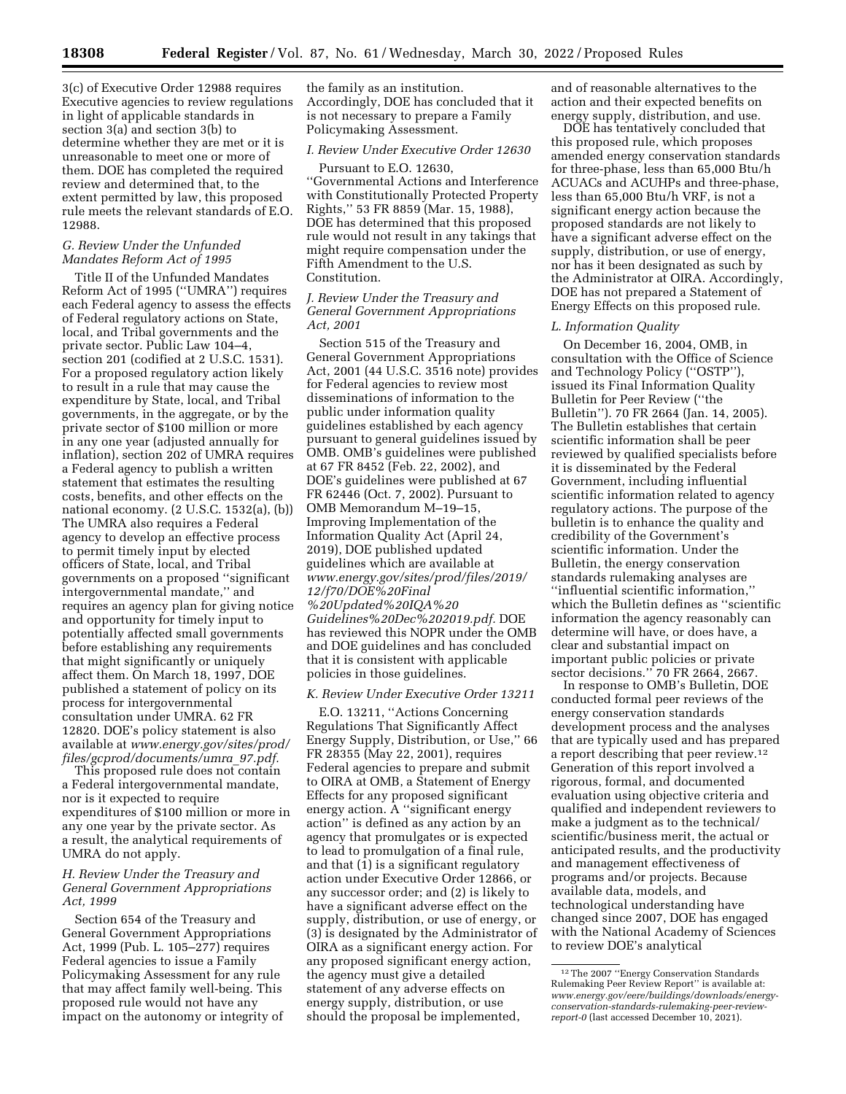3(c) of Executive Order 12988 requires Executive agencies to review regulations in light of applicable standards in section 3(a) and section 3(b) to determine whether they are met or it is unreasonable to meet one or more of them. DOE has completed the required review and determined that, to the extent permitted by law, this proposed rule meets the relevant standards of E.O. 12988.

# *G. Review Under the Unfunded Mandates Reform Act of 1995*

Title II of the Unfunded Mandates Reform Act of 1995 (''UMRA'') requires each Federal agency to assess the effects of Federal regulatory actions on State, local, and Tribal governments and the private sector. Public Law 104–4, section 201 (codified at 2 U.S.C. 1531). For a proposed regulatory action likely to result in a rule that may cause the expenditure by State, local, and Tribal governments, in the aggregate, or by the private sector of \$100 million or more in any one year (adjusted annually for inflation), section 202 of UMRA requires a Federal agency to publish a written statement that estimates the resulting costs, benefits, and other effects on the national economy. (2 U.S.C. 1532(a), (b)) The UMRA also requires a Federal agency to develop an effective process to permit timely input by elected officers of State, local, and Tribal governments on a proposed ''significant intergovernmental mandate,'' and requires an agency plan for giving notice and opportunity for timely input to potentially affected small governments before establishing any requirements that might significantly or uniquely affect them. On March 18, 1997, DOE published a statement of policy on its process for intergovernmental consultation under UMRA. 62 FR 12820. DOE's policy statement is also available at *[www.energy.gov/sites/prod/](http://www.energy.gov/sites/prod/files/gcprod/documents/umra_97.pdf)  [files/gcprod/documents/umra](http://www.energy.gov/sites/prod/files/gcprod/documents/umra_97.pdf)*\_*97.pdf.* 

This proposed rule does not contain a Federal intergovernmental mandate, nor is it expected to require expenditures of \$100 million or more in any one year by the private sector. As a result, the analytical requirements of UMRA do not apply.

### *H. Review Under the Treasury and General Government Appropriations Act, 1999*

Section 654 of the Treasury and General Government Appropriations Act, 1999 (Pub. L. 105–277) requires Federal agencies to issue a Family Policymaking Assessment for any rule that may affect family well-being. This proposed rule would not have any impact on the autonomy or integrity of the family as an institution. Accordingly, DOE has concluded that it is not necessary to prepare a Family Policymaking Assessment.

# *I. Review Under Executive Order 12630*

Pursuant to E.O. 12630, ''Governmental Actions and Interference with Constitutionally Protected Property Rights,'' 53 FR 8859 (Mar. 15, 1988), DOE has determined that this proposed rule would not result in any takings that might require compensation under the Fifth Amendment to the U.S. Constitution.

## *J. Review Under the Treasury and General Government Appropriations Act, 2001*

Section 515 of the Treasury and General Government Appropriations Act, 2001 (44 U.S.C. 3516 note) provides for Federal agencies to review most disseminations of information to the public under information quality guidelines established by each agency pursuant to general guidelines issued by OMB. OMB's guidelines were published at 67 FR 8452 (Feb. 22, 2002), and DOE's guidelines were published at 67 FR 62446 (Oct. 7, 2002). Pursuant to OMB Memorandum M–19–15, Improving Implementation of the Information Quality Act (April 24, 2019), DOE published updated guidelines which are available at *[www.energy.gov/sites/prod/files/2019/](http://www.energy.gov/sites/prod/files/2019/12/f70/DOE%20Final%20Updated%20IQA%20Guidelines%20Dec%202019.pdf) [12/f70/DOE%20Final](http://www.energy.gov/sites/prod/files/2019/12/f70/DOE%20Final%20Updated%20IQA%20Guidelines%20Dec%202019.pdf) [%20Updated%20IQA%20](http://www.energy.gov/sites/prod/files/2019/12/f70/DOE%20Final%20Updated%20IQA%20Guidelines%20Dec%202019.pdf) [Guidelines%20Dec%202019.pdf.](http://www.energy.gov/sites/prod/files/2019/12/f70/DOE%20Final%20Updated%20IQA%20Guidelines%20Dec%202019.pdf)* DOE has reviewed this NOPR under the OMB and DOE guidelines and has concluded that it is consistent with applicable policies in those guidelines.

## *K. Review Under Executive Order 13211*

E.O. 13211, ''Actions Concerning Regulations That Significantly Affect Energy Supply, Distribution, or Use,'' 66 FR 28355 (May 22, 2001), requires Federal agencies to prepare and submit to OIRA at OMB, a Statement of Energy Effects for any proposed significant energy action. A ''significant energy action'' is defined as any action by an agency that promulgates or is expected to lead to promulgation of a final rule, and that  $(1)$  is a significant regulatory action under Executive Order 12866, or any successor order; and (2) is likely to have a significant adverse effect on the supply, distribution, or use of energy, or (3) is designated by the Administrator of OIRA as a significant energy action. For any proposed significant energy action, the agency must give a detailed statement of any adverse effects on energy supply, distribution, or use should the proposal be implemented,

and of reasonable alternatives to the action and their expected benefits on energy supply, distribution, and use.

DOE has tentatively concluded that this proposed rule, which proposes amended energy conservation standards for three-phase, less than 65,000 Btu/h ACUACs and ACUHPs and three-phase, less than 65,000 Btu/h VRF, is not a significant energy action because the proposed standards are not likely to have a significant adverse effect on the supply, distribution, or use of energy, nor has it been designated as such by the Administrator at OIRA. Accordingly, DOE has not prepared a Statement of Energy Effects on this proposed rule.

#### *L. Information Quality*

On December 16, 2004, OMB, in consultation with the Office of Science and Technology Policy (''OSTP''), issued its Final Information Quality Bulletin for Peer Review (''the Bulletin''). 70 FR 2664 (Jan. 14, 2005). The Bulletin establishes that certain scientific information shall be peer reviewed by qualified specialists before it is disseminated by the Federal Government, including influential scientific information related to agency regulatory actions. The purpose of the bulletin is to enhance the quality and credibility of the Government's scientific information. Under the Bulletin, the energy conservation standards rulemaking analyses are ''influential scientific information,'' which the Bulletin defines as ''scientific information the agency reasonably can determine will have, or does have, a clear and substantial impact on important public policies or private sector decisions.'' 70 FR 2664, 2667.

In response to OMB's Bulletin, DOE conducted formal peer reviews of the energy conservation standards development process and the analyses that are typically used and has prepared a report describing that peer review.12 Generation of this report involved a rigorous, formal, and documented evaluation using objective criteria and qualified and independent reviewers to make a judgment as to the technical/ scientific/business merit, the actual or anticipated results, and the productivity and management effectiveness of programs and/or projects. Because available data, models, and technological understanding have changed since 2007, DOE has engaged with the National Academy of Sciences to review DOE's analytical

<sup>12</sup>The 2007 ''Energy Conservation Standards Rulemaking Peer Review Report'' is available at: *[www.energy.gov/eere/buildings/downloads/energy](https://www.energy.gov/eere/buildings/downloads/energy-conservation-standards-rulemaking-peer-review-report-0)[conservation-standards-rulemaking-peer-review](https://www.energy.gov/eere/buildings/downloads/energy-conservation-standards-rulemaking-peer-review-report-0)[report-0](https://www.energy.gov/eere/buildings/downloads/energy-conservation-standards-rulemaking-peer-review-report-0)* (last accessed December 10, 2021).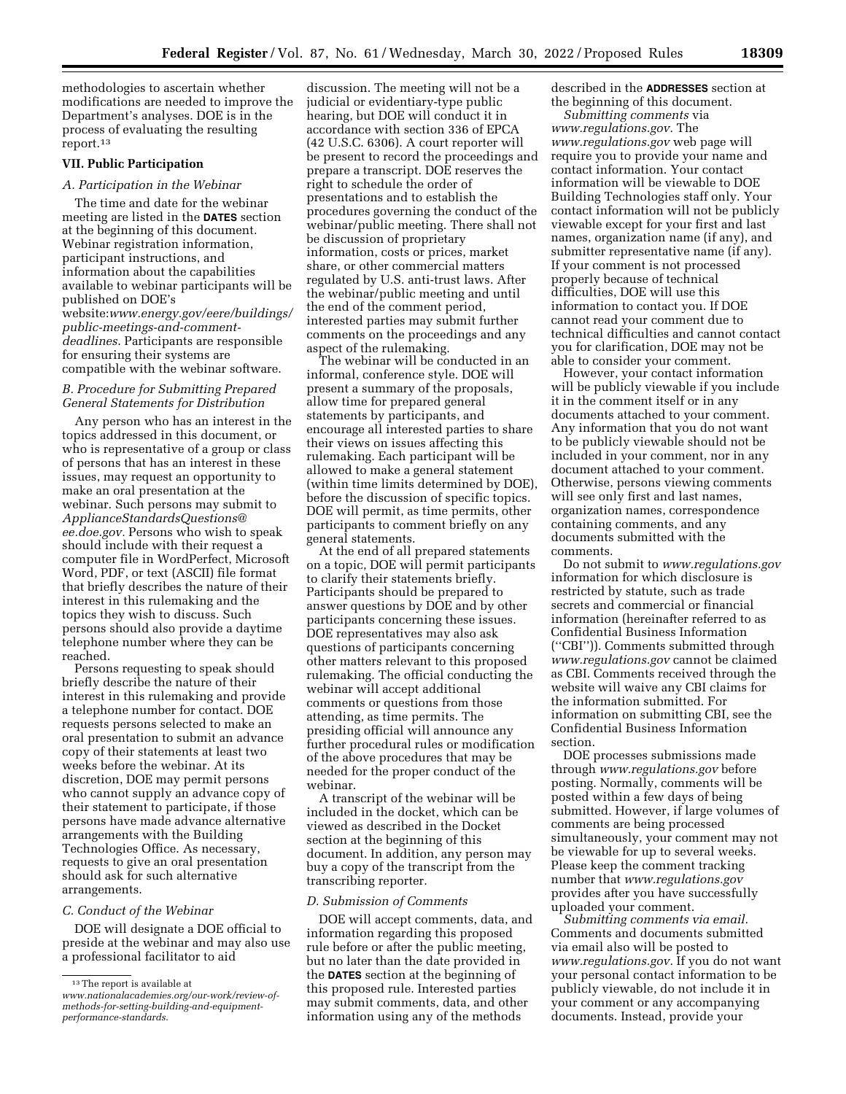methodologies to ascertain whether modifications are needed to improve the Department's analyses. DOE is in the process of evaluating the resulting report.13

# **VII. Public Participation**

#### *A. Participation in the Webinar*

The time and date for the webinar meeting are listed in the **DATES** section at the beginning of this document. Webinar registration information, participant instructions, and information about the capabilities available to webinar participants will be published on DOE's website:*[www.energy.gov/eere/buildings/](https://www.energy.gov/eere/buildings/public-meetings-and-comment-deadlines)  [public-meetings-and-comment](https://www.energy.gov/eere/buildings/public-meetings-and-comment-deadlines)[deadlines](https://www.energy.gov/eere/buildings/public-meetings-and-comment-deadlines)*. Participants are responsible for ensuring their systems are compatible with the webinar software.

# *B. Procedure for Submitting Prepared General Statements for Distribution*

Any person who has an interest in the topics addressed in this document, or who is representative of a group or class of persons that has an interest in these issues, may request an opportunity to make an oral presentation at the webinar. Such persons may submit to *[ApplianceStandardsQuestions@](mailto:ApplianceStandardsQuestions@ee.doe.gov) [ee.doe.gov.](mailto:ApplianceStandardsQuestions@ee.doe.gov)* Persons who wish to speak should include with their request a computer file in WordPerfect, Microsoft Word, PDF, or text (ASCII) file format that briefly describes the nature of their interest in this rulemaking and the topics they wish to discuss. Such persons should also provide a daytime telephone number where they can be reached.

Persons requesting to speak should briefly describe the nature of their interest in this rulemaking and provide a telephone number for contact. DOE requests persons selected to make an oral presentation to submit an advance copy of their statements at least two weeks before the webinar. At its discretion, DOE may permit persons who cannot supply an advance copy of their statement to participate, if those persons have made advance alternative arrangements with the Building Technologies Office. As necessary, requests to give an oral presentation should ask for such alternative arrangements.

#### *C. Conduct of the Webinar*

DOE will designate a DOE official to preside at the webinar and may also use a professional facilitator to aid

discussion. The meeting will not be a judicial or evidentiary-type public hearing, but DOE will conduct it in accordance with section 336 of EPCA (42 U.S.C. 6306). A court reporter will be present to record the proceedings and prepare a transcript. DOE reserves the right to schedule the order of presentations and to establish the procedures governing the conduct of the webinar/public meeting. There shall not be discussion of proprietary information, costs or prices, market share, or other commercial matters regulated by U.S. anti-trust laws. After the webinar/public meeting and until the end of the comment period, interested parties may submit further comments on the proceedings and any aspect of the rulemaking.

The webinar will be conducted in an informal, conference style. DOE will present a summary of the proposals, allow time for prepared general statements by participants, and encourage all interested parties to share their views on issues affecting this rulemaking. Each participant will be allowed to make a general statement (within time limits determined by DOE), before the discussion of specific topics. DOE will permit, as time permits, other participants to comment briefly on any general statements.

At the end of all prepared statements on a topic, DOE will permit participants to clarify their statements briefly. Participants should be prepared to answer questions by DOE and by other participants concerning these issues. DOE representatives may also ask questions of participants concerning other matters relevant to this proposed rulemaking. The official conducting the webinar will accept additional comments or questions from those attending, as time permits. The presiding official will announce any further procedural rules or modification of the above procedures that may be needed for the proper conduct of the webinar.

A transcript of the webinar will be included in the docket, which can be viewed as described in the Docket section at the beginning of this document. In addition, any person may buy a copy of the transcript from the transcribing reporter.

#### *D. Submission of Comments*

DOE will accept comments, data, and information regarding this proposed rule before or after the public meeting, but no later than the date provided in the **DATES** section at the beginning of this proposed rule. Interested parties may submit comments, data, and other information using any of the methods

described in the **ADDRESSES** section at the beginning of this document.

*Submitting comments* via *[www.regulations.gov.](http://www.regulations.gov)* The *[www.regulations.gov](http://www.regulations.gov)* web page will require you to provide your name and contact information. Your contact information will be viewable to DOE Building Technologies staff only. Your contact information will not be publicly viewable except for your first and last names, organization name (if any), and submitter representative name (if any). If your comment is not processed properly because of technical difficulties, DOE will use this information to contact you. If DOE cannot read your comment due to technical difficulties and cannot contact you for clarification, DOE may not be able to consider your comment.

However, your contact information will be publicly viewable if you include it in the comment itself or in any documents attached to your comment. Any information that you do not want to be publicly viewable should not be included in your comment, nor in any document attached to your comment. Otherwise, persons viewing comments will see only first and last names, organization names, correspondence containing comments, and any documents submitted with the comments.

Do not submit to *[www.regulations.gov](http://www.regulations.gov)*  information for which disclosure is restricted by statute, such as trade secrets and commercial or financial information (hereinafter referred to as Confidential Business Information (''CBI'')). Comments submitted through *[www.regulations.gov](http://www.regulations.gov)* cannot be claimed as CBI. Comments received through the website will waive any CBI claims for the information submitted. For information on submitting CBI, see the Confidential Business Information section.

DOE processes submissions made through *[www.regulations.gov](http://www.regulations.gov)* before posting. Normally, comments will be posted within a few days of being submitted. However, if large volumes of comments are being processed simultaneously, your comment may not be viewable for up to several weeks. Please keep the comment tracking number that *[www.regulations.gov](http://www.regulations.gov)*  provides after you have successfully uploaded your comment.

*Submitting comments via email.*  Comments and documents submitted via email also will be posted to *[www.regulations.gov.](http://www.regulations.gov)* If you do not want your personal contact information to be publicly viewable, do not include it in your comment or any accompanying documents. Instead, provide your

<sup>13</sup>The report is available at *[www.nationalacademies.org/our-work/review-of-](https://www.nationalacademies.org/our-work/review-of-methods-for-setting-building-and-equipment-performance-standards)*

*[methods-for-setting-building-and-equipment](https://www.nationalacademies.org/our-work/review-of-methods-for-setting-building-and-equipment-performance-standards)[performance-standards](https://www.nationalacademies.org/our-work/review-of-methods-for-setting-building-and-equipment-performance-standards)*.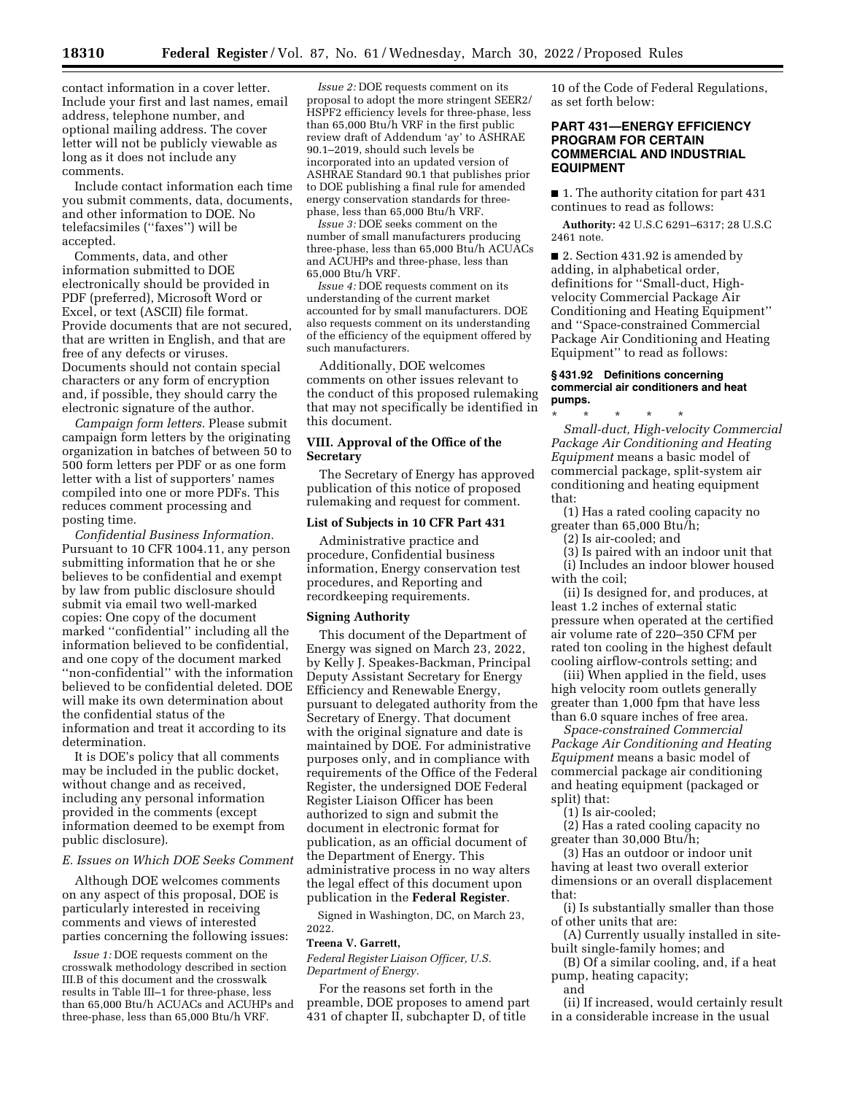contact information in a cover letter. Include your first and last names, email address, telephone number, and optional mailing address. The cover letter will not be publicly viewable as long as it does not include any comments.

Include contact information each time you submit comments, data, documents, and other information to DOE. No telefacsimiles (''faxes'') will be accepted.

Comments, data, and other information submitted to DOE electronically should be provided in PDF (preferred), Microsoft Word or Excel, or text (ASCII) file format. Provide documents that are not secured, that are written in English, and that are free of any defects or viruses. Documents should not contain special characters or any form of encryption and, if possible, they should carry the electronic signature of the author.

*Campaign form letters.* Please submit campaign form letters by the originating organization in batches of between 50 to 500 form letters per PDF or as one form letter with a list of supporters' names compiled into one or more PDFs. This reduces comment processing and posting time.

*Confidential Business Information.*  Pursuant to 10 CFR 1004.11, any person submitting information that he or she believes to be confidential and exempt by law from public disclosure should submit via email two well-marked copies: One copy of the document marked ''confidential'' including all the information believed to be confidential, and one copy of the document marked ''non-confidential'' with the information believed to be confidential deleted. DOE will make its own determination about the confidential status of the information and treat it according to its determination.

It is DOE's policy that all comments may be included in the public docket, without change and as received, including any personal information provided in the comments (except information deemed to be exempt from public disclosure).

#### *E. Issues on Which DOE Seeks Comment*

Although DOE welcomes comments on any aspect of this proposal, DOE is particularly interested in receiving comments and views of interested parties concerning the following issues:

*Issue 1:* DOE requests comment on the crosswalk methodology described in section III.B of this document and the crosswalk results in Table III–1 for three-phase, less than 65,000 Btu/h ACUACs and ACUHPs and three-phase, less than 65,000 Btu/h VRF.

*Issue 2:* DOE requests comment on its proposal to adopt the more stringent SEER2/ HSPF2 efficiency levels for three-phase, less than 65,000 Btu/h VRF in the first public review draft of Addendum 'ay' to ASHRAE 90.1–2019, should such levels be incorporated into an updated version of ASHRAE Standard 90.1 that publishes prior to DOE publishing a final rule for amended energy conservation standards for threephase, less than 65,000 Btu/h VRF.

*Issue 3:* DOE seeks comment on the number of small manufacturers producing three-phase, less than 65,000 Btu/h ACUACs and ACUHPs and three-phase, less than 65,000 Btu/h VRF.

*Issue 4:* DOE requests comment on its understanding of the current market accounted for by small manufacturers. DOE also requests comment on its understanding of the efficiency of the equipment offered by such manufacturers.

Additionally, DOE welcomes comments on other issues relevant to the conduct of this proposed rulemaking that may not specifically be identified in this document.

# **VIII. Approval of the Office of the Secretary**

The Secretary of Energy has approved publication of this notice of proposed rulemaking and request for comment.

#### **List of Subjects in 10 CFR Part 431**

Administrative practice and procedure, Confidential business information, Energy conservation test procedures, and Reporting and recordkeeping requirements.

#### **Signing Authority**

This document of the Department of Energy was signed on March 23, 2022, by Kelly J. Speakes-Backman, Principal Deputy Assistant Secretary for Energy Efficiency and Renewable Energy, pursuant to delegated authority from the Secretary of Energy. That document with the original signature and date is maintained by DOE. For administrative purposes only, and in compliance with requirements of the Office of the Federal Register, the undersigned DOE Federal Register Liaison Officer has been authorized to sign and submit the document in electronic format for publication, as an official document of the Department of Energy. This administrative process in no way alters the legal effect of this document upon publication in the **Federal Register**.

Signed in Washington, DC, on March 23, 2022.

#### **Treena V. Garrett,**

*Federal Register Liaison Officer, U.S. Department of Energy.* 

For the reasons set forth in the preamble, DOE proposes to amend part 431 of chapter II, subchapter D, of title

10 of the Code of Federal Regulations, as set forth below:

# **PART 431—ENERGY EFFICIENCY PROGRAM FOR CERTAIN COMMERCIAL AND INDUSTRIAL EQUIPMENT**

■ 1. The authority citation for part 431 continues to read as follows:

**Authority:** 42 U.S.C 6291–6317; 28 U.S.C 2461 note.

■ 2. Section 431.92 is amended by adding, in alphabetical order, definitions for ''Small-duct, Highvelocity Commercial Package Air Conditioning and Heating Equipment'' and ''Space-constrained Commercial Package Air Conditioning and Heating Equipment'' to read as follows:

#### **§ 431.92 Definitions concerning commercial air conditioners and heat pumps.**

\* \* \* \* \* *Small-duct, High-velocity Commercial Package Air Conditioning and Heating Equipment* means a basic model of commercial package, split-system air conditioning and heating equipment that:

(1) Has a rated cooling capacity no greater than 65,000 Btu/h;

(2) Is air-cooled; and

(3) Is paired with an indoor unit that (i) Includes an indoor blower housed with the coil;

(ii) Is designed for, and produces, at least 1.2 inches of external static pressure when operated at the certified air volume rate of 220–350 CFM per rated ton cooling in the highest default cooling airflow-controls setting; and

(iii) When applied in the field, uses high velocity room outlets generally greater than 1,000 fpm that have less than 6.0 square inches of free area.

*Space-constrained Commercial Package Air Conditioning and Heating Equipment* means a basic model of commercial package air conditioning and heating equipment (packaged or split) that:

(1) Is air-cooled;

(2) Has a rated cooling capacity no greater than 30,000 Btu/h;

(3) Has an outdoor or indoor unit having at least two overall exterior dimensions or an overall displacement that:

(i) Is substantially smaller than those of other units that are:

(A) Currently usually installed in sitebuilt single-family homes; and

(B) Of a similar cooling, and, if a heat pump, heating capacity;

and

(ii) If increased, would certainly result in a considerable increase in the usual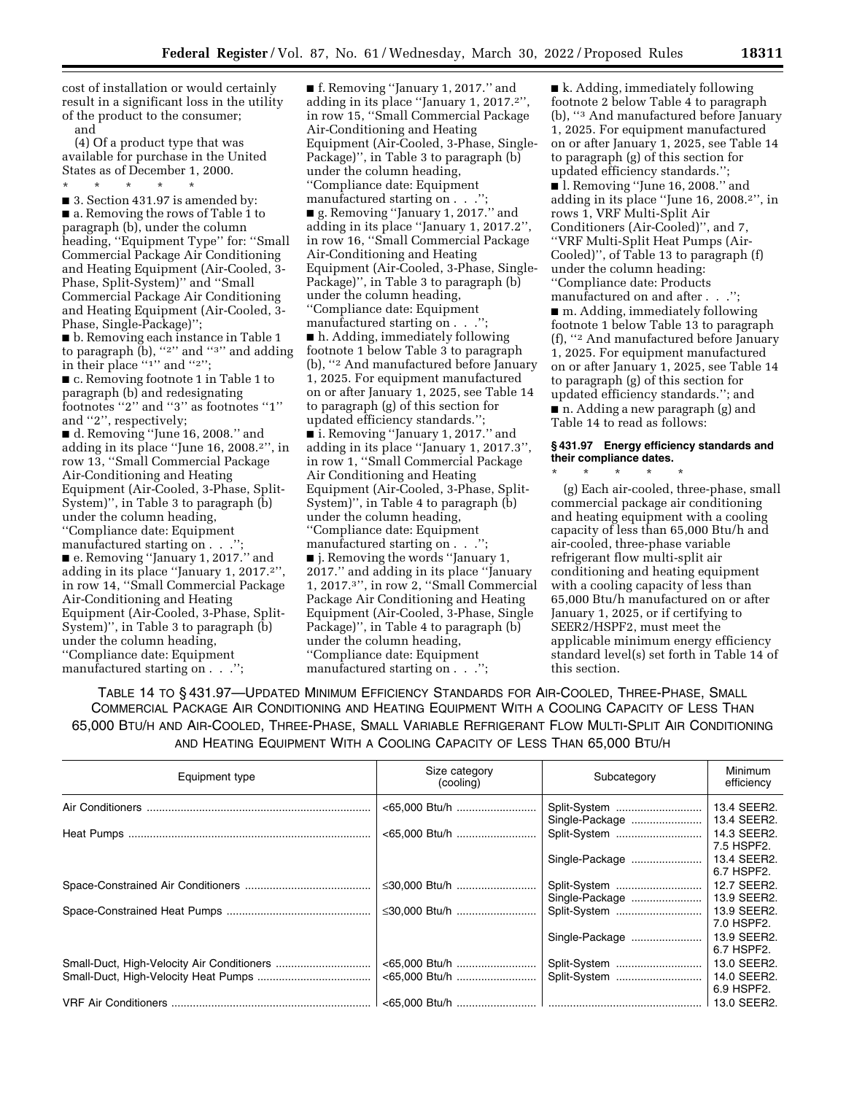cost of installation or would certainly result in a significant loss in the utility of the product to the consumer; and

(4) Of a product type that was available for purchase in the United States as of December 1, 2000.

\* \* \* \* \*

■ 3. Section 431.97 is amended by: ■ a. Removing the rows of Table 1 to paragraph (b), under the column heading, ''Equipment Type'' for: ''Small Commercial Package Air Conditioning and Heating Equipment (Air-Cooled, 3- Phase, Split-System)'' and ''Small Commercial Package Air Conditioning and Heating Equipment (Air-Cooled, 3- Phase, Single-Package)'';

■ b. Removing each instance in Table 1 to paragraph  $(b)$ , "2" and "3" and adding in their place "1" and "2"; ■ c. Removing footnote 1 in Table 1 to paragraph (b) and redesignating footnotes ''2'' and ''3'' as footnotes ''1'' and ''2'', respectively;

■ d. Removing ''June 16, 2008.'' and adding in its place ''June 16, 2008.2'', in row 13, ''Small Commercial Package Air-Conditioning and Heating Equipment (Air-Cooled, 3-Phase, Split-System)'', in Table 3 to paragraph (b) under the column heading, ''Compliance date: Equipment manufactured starting on  $\ldots$ . ■ e. Removing ''January 1, 2017.'' and adding in its place ''January 1, 2017.2'', in row 14, ''Small Commercial Package Air-Conditioning and Heating Equipment (Air-Cooled, 3-Phase, Split-System)'', in Table 3 to paragraph (b) under the column heading, ''Compliance date: Equipment manufactured starting on . . .'';

■ f. Removing "January 1, 2017." and adding in its place ''January 1, 2017.2'', in row 15, ''Small Commercial Package Air-Conditioning and Heating Equipment (Air-Cooled, 3-Phase, Single-Package)'', in Table 3 to paragraph (b) under the column heading, ''Compliance date: Equipment manufactured starting on . . ."

■ g. Removing "January 1, 2017." and adding in its place ''January 1, 2017.2'', in row 16, ''Small Commercial Package Air-Conditioning and Heating Equipment (Air-Cooled, 3-Phase, Single-Package)'', in Table 3 to paragraph (b) under the column heading, ''Compliance date: Equipment

manufactured starting on . . .''; ■ h. Adding, immediately following footnote 1 below Table 3 to paragraph (b), ''2 And manufactured before January 1, 2025. For equipment manufactured on or after January 1, 2025, see Table 14 to paragraph (g) of this section for updated efficiency standards.''; ■ i. Removing "January 1, 2017." and adding in its place ''January 1, 2017.3'', in row 1, ''Small Commercial Package Air Conditioning and Heating Equipment (Air-Cooled, 3-Phase, Split-System)'', in Table 4 to paragraph (b) under the column heading, ''Compliance date: Equipment manufactured starting on  $\ldots$ ."; ■ j. Removing the words "January 1, 2017.'' and adding in its place ''January 1, 2017.3'', in row 2, ''Small Commercial Package Air Conditioning and Heating Equipment (Air-Cooled, 3-Phase, Single Package)'', in Table 4 to paragraph (b) under the column heading, ''Compliance date: Equipment manufactured starting on . . .'';

■ k. Adding, immediately following footnote 2 below Table 4 to paragraph (b), ''3 And manufactured before January 1, 2025. For equipment manufactured on or after January 1, 2025, see Table 14 to paragraph (g) of this section for updated efficiency standards.'';

■ l. Removing "June 16, 2008." and adding in its place ''June 16, 2008.2'', in rows 1, VRF Multi-Split Air Conditioners (Air-Cooled)'', and 7, ''VRF Multi-Split Heat Pumps (Air-Cooled)'', of Table 13 to paragraph (f) under the column heading: ''Compliance date: Products manufactured on and after . . .'';

■ m. Adding, immediately following footnote 1 below Table 13 to paragraph (f), ''2 And manufactured before January 1, 2025. For equipment manufactured on or after January 1, 2025, see Table 14 to paragraph (g) of this section for updated efficiency standards.''; and ■ n. Adding a new paragraph (g) and

Table 14 to read as follows:

\* \* \* \* \*

#### **§ 431.97 Energy efficiency standards and their compliance dates.**

(g) Each air-cooled, three-phase, small commercial package air conditioning and heating equipment with a cooling capacity of less than 65,000 Btu/h and air-cooled, three-phase variable refrigerant flow multi-split air conditioning and heating equipment with a cooling capacity of less than 65,000 Btu/h manufactured on or after January 1, 2025, or if certifying to SEER2/HSPF2, must meet the applicable minimum energy efficiency standard level(s) set forth in Table 14 of this section.

TABLE 14 TO § 431.97—UPDATED MINIMUM EFFICIENCY STANDARDS FOR AIR-COOLED, THREE-PHASE, SMALL COMMERCIAL PACKAGE AIR CONDITIONING AND HEATING EQUIPMENT WITH A COOLING CAPACITY OF LESS THAN 65,000 BTU/H AND AIR-COOLED, THREE-PHASE, SMALL VARIABLE REFRIGERANT FLOW MULTI-SPLIT AIR CONDITIONING AND HEATING EQUIPMENT WITH A COOLING CAPACITY OF LESS THAN 65,000 BTU/H

| Equipment type | Size category<br>(cooling) | Subcategory                    | Minimum<br>efficiency      |
|----------------|----------------------------|--------------------------------|----------------------------|
|                |                            | Split-System<br>Single-Package | 13.4 SEER2.<br>13.4 SEER2. |
|                | <65,000 Btu/h              | Split-System                   | 14.3 SEER2.<br>7.5 HSPF2.  |
|                |                            | Single-Package                 | 13.4 SEER2.<br>6.7 HSPF2.  |
|                | ≤30,000 Btu/h              | Split-System<br>Single-Package | 12.7 SEER2.<br>13.9 SEER2. |
|                |                            | Split-System                   | 13.9 SEER2.<br>7.0 HSPF2.  |
|                |                            | Single-Package                 | 13.9 SEER2.<br>6.7 HSPF2.  |
|                | <65,000 Btu/h              | Split-System                   | 13.0 SEER2.                |
|                |                            | Split-System                   | 14.0 SEER2.<br>6.9 HSPF2.  |
|                |                            |                                | 13.0 SEER2.                |